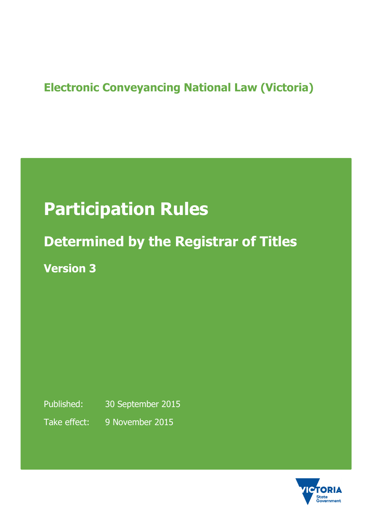## **Electronic Conveyancing National Law (Victoria)**

# **Participation Rules**

# **Determined by the Registrar of Titles Version 3**

Published: 30 September 2015 Take effect: 9 November 2015

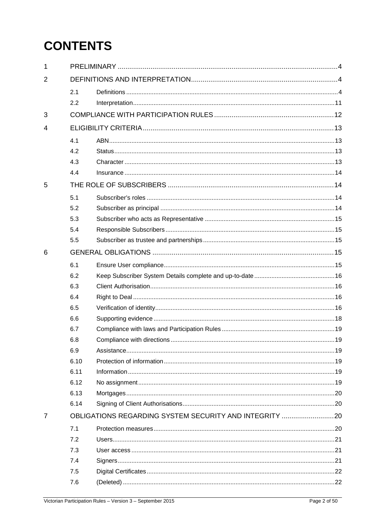## **CONTENTS**

| 1              |                                                        |  |  |
|----------------|--------------------------------------------------------|--|--|
| $\overline{2}$ |                                                        |  |  |
|                | 2.1                                                    |  |  |
|                | 2.2                                                    |  |  |
| 3              |                                                        |  |  |
| 4              |                                                        |  |  |
|                | 4.1                                                    |  |  |
|                | 4.2                                                    |  |  |
|                | 4.3                                                    |  |  |
|                | 4.4                                                    |  |  |
| 5              |                                                        |  |  |
|                | 5.1                                                    |  |  |
|                | 5.2                                                    |  |  |
|                | 5.3                                                    |  |  |
|                | 5.4                                                    |  |  |
|                | 5.5                                                    |  |  |
| 6              |                                                        |  |  |
|                | 6.1                                                    |  |  |
|                | 6.2                                                    |  |  |
|                | 6.3                                                    |  |  |
|                | 6.4                                                    |  |  |
|                | 6.5                                                    |  |  |
|                | 6.6                                                    |  |  |
|                | 6.7                                                    |  |  |
|                | 6.8                                                    |  |  |
|                | 6.9                                                    |  |  |
|                | 6.10                                                   |  |  |
|                | 6.11                                                   |  |  |
|                | 6.12                                                   |  |  |
|                | 6.13                                                   |  |  |
|                | 6.14                                                   |  |  |
| $\overline{7}$ | OBLIGATIONS REGARDING SYSTEM SECURITY AND INTEGRITY 20 |  |  |
|                | 7.1                                                    |  |  |
|                | 7.2                                                    |  |  |
|                | 7.3                                                    |  |  |
|                | 7.4                                                    |  |  |
|                | 7.5                                                    |  |  |
|                | 7.6                                                    |  |  |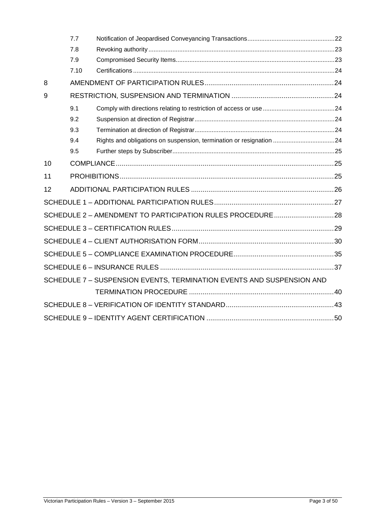|    | 7.7  |                                                                       |  |
|----|------|-----------------------------------------------------------------------|--|
|    | 7.8  |                                                                       |  |
|    | 7.9  |                                                                       |  |
|    | 7.10 |                                                                       |  |
| 8  |      |                                                                       |  |
| 9  |      |                                                                       |  |
|    | 9.1  |                                                                       |  |
|    | 9.2  |                                                                       |  |
|    | 9.3  |                                                                       |  |
|    | 9.4  |                                                                       |  |
|    | 9.5  |                                                                       |  |
| 10 |      |                                                                       |  |
| 11 |      |                                                                       |  |
| 12 |      |                                                                       |  |
|    |      |                                                                       |  |
|    |      | SCHEDULE 2 - AMENDMENT TO PARTICIPATION RULES PROCEDURE 28            |  |
|    |      |                                                                       |  |
|    |      |                                                                       |  |
|    |      |                                                                       |  |
|    |      |                                                                       |  |
|    |      | SCHEDULE 7 - SUSPENSION EVENTS, TERMINATION EVENTS AND SUSPENSION AND |  |
|    |      |                                                                       |  |
|    |      |                                                                       |  |
|    |      |                                                                       |  |
|    |      |                                                                       |  |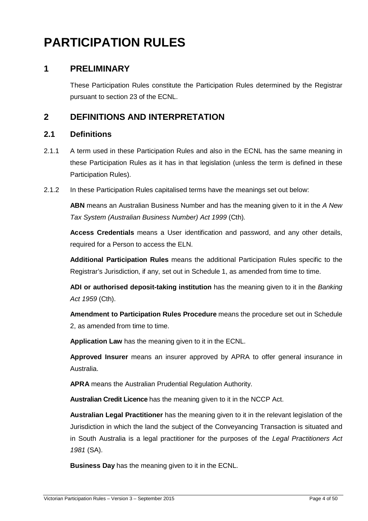## **PARTICIPATION RULES**

## **1 PRELIMINARY**

These Participation Rules constitute the Participation Rules determined by the Registrar pursuant to section 23 of the ECNL.

## **2 DEFINITIONS AND INTERPRETATION**

## **2.1 Definitions**

- 2.1.1 A term used in these Participation Rules and also in the ECNL has the same meaning in these Participation Rules as it has in that legislation (unless the term is defined in these Participation Rules).
- 2.1.2 In these Participation Rules capitalised terms have the meanings set out below:

**ABN** means an Australian Business Number and has the meaning given to it in the A New Tax System (Australian Business Number) Act 1999 (Cth).

**Access Credentials** means a User identification and password, and any other details, required for a Person to access the ELN.

**Additional Participation Rules** means the additional Participation Rules specific to the Registrar's Jurisdiction, if any, set out in Schedule 1, as amended from time to time.

**ADI or authorised deposit-taking institution** has the meaning given to it in the Banking Act 1959 (Cth).

**Amendment to Participation Rules Procedure** means the procedure set out in Schedule 2, as amended from time to time.

**Application Law** has the meaning given to it in the ECNL.

**Approved Insurer** means an insurer approved by APRA to offer general insurance in Australia.

**APRA** means the Australian Prudential Regulation Authority.

**Australian Credit Licence** has the meaning given to it in the NCCP Act.

**Australian Legal Practitioner** has the meaning given to it in the relevant legislation of the Jurisdiction in which the land the subject of the Conveyancing Transaction is situated and in South Australia is a legal practitioner for the purposes of the Legal Practitioners Act 1981 (SA).

**Business Day** has the meaning given to it in the ECNL.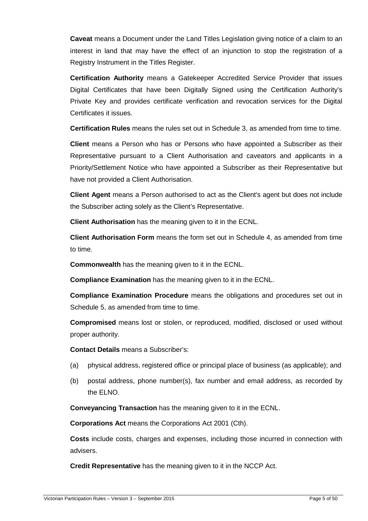**Caveat** means a Document under the Land Titles Legislation giving notice of a claim to an interest in land that may have the effect of an injunction to stop the registration of a Registry Instrument in the Titles Register.

**Certification Authority** means a Gatekeeper Accredited Service Provider that issues Digital Certificates that have been Digitally Signed using the Certification Authority's Private Key and provides certificate verification and revocation services for the Digital Certificates it issues.

**Certification Rules** means the rules set out in Schedule 3, as amended from time to time.

**Client** means a Person who has or Persons who have appointed a Subscriber as their Representative pursuant to a Client Authorisation and caveators and applicants in a Priority/Settlement Notice who have appointed a Subscriber as their Representative but have not provided a Client Authorisation.

**Client Agent** means a Person authorised to act as the Client's agent but does not include the Subscriber acting solely as the Client's Representative.

**Client Authorisation** has the meaning given to it in the ECNL.

**Client Authorisation Form** means the form set out in Schedule 4, as amended from time to time.

**Commonwealth** has the meaning given to it in the ECNL.

**Compliance Examination** has the meaning given to it in the ECNL.

**Compliance Examination Procedure** means the obligations and procedures set out in Schedule 5, as amended from time to time.

**Compromised** means lost or stolen, or reproduced, modified, disclosed or used without proper authority.

**Contact Details** means a Subscriber's:

- (a) physical address, registered office or principal place of business (as applicable); and
- (b) postal address, phone number(s), fax number and email address, as recorded by the ELNO.

**Conveyancing Transaction** has the meaning given to it in the ECNL.

**Corporations Act** means the Corporations Act 2001 (Cth).

**Costs** include costs, charges and expenses, including those incurred in connection with advisers.

**Credit Representative** has the meaning given to it in the NCCP Act.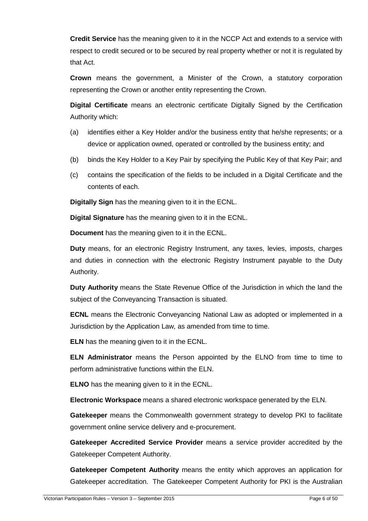**Credit Service** has the meaning given to it in the NCCP Act and extends to a service with respect to credit secured or to be secured by real property whether or not it is regulated by that Act.

**Crown** means the government, a Minister of the Crown, a statutory corporation representing the Crown or another entity representing the Crown.

**Digital Certificate** means an electronic certificate Digitally Signed by the Certification Authority which:

- (a) identifies either a Key Holder and/or the business entity that he/she represents; or a device or application owned, operated or controlled by the business entity; and
- (b) binds the Key Holder to a Key Pair by specifying the Public Key of that Key Pair; and
- (c) contains the specification of the fields to be included in a Digital Certificate and the contents of each.

**Digitally Sign** has the meaning given to it in the ECNL.

**Digital Signature** has the meaning given to it in the ECNL.

**Document** has the meaning given to it in the ECNL.

**Duty** means, for an electronic Registry Instrument, any taxes, levies, imposts, charges and duties in connection with the electronic Registry Instrument payable to the Duty Authority.

**Duty Authority** means the State Revenue Office of the Jurisdiction in which the land the subject of the Conveyancing Transaction is situated.

**ECNL** means the Electronic Conveyancing National Law as adopted or implemented in a Jurisdiction by the Application Law, as amended from time to time.

**ELN** has the meaning given to it in the ECNL.

**ELN Administrator** means the Person appointed by the ELNO from time to time to perform administrative functions within the ELN.

**ELNO** has the meaning given to it in the ECNL.

**Electronic Workspace** means a shared electronic workspace generated by the ELN.

**Gatekeeper** means the Commonwealth government strategy to develop PKI to facilitate government online service delivery and e-procurement.

**Gatekeeper Accredited Service Provider** means a service provider accredited by the Gatekeeper Competent Authority.

**Gatekeeper Competent Authority** means the entity which approves an application for Gatekeeper accreditation. The Gatekeeper Competent Authority for PKI is the Australian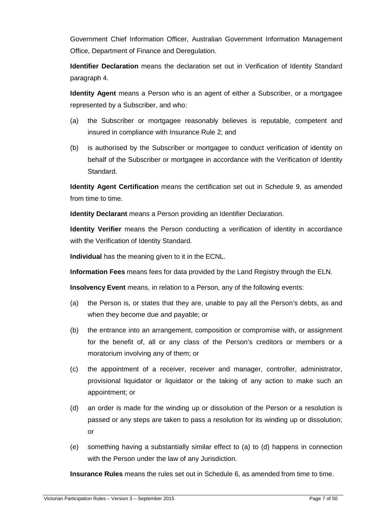Government Chief Information Officer, Australian Government Information Management Office, Department of Finance and Deregulation.

**Identifier Declaration** means the declaration set out in Verification of Identity Standard paragraph 4.

**Identity Agent** means a Person who is an agent of either a Subscriber, or a mortgagee represented by a Subscriber, and who:

- (a) the Subscriber or mortgagee reasonably believes is reputable, competent and insured in compliance with Insurance Rule 2; and
- (b) is authorised by the Subscriber or mortgagee to conduct verification of identity on behalf of the Subscriber or mortgagee in accordance with the Verification of Identity Standard.

**Identity Agent Certification** means the certification set out in Schedule 9, as amended from time to time.

**Identity Declarant** means a Person providing an Identifier Declaration.

**Identity Verifier** means the Person conducting a verification of identity in accordance with the Verification of Identity Standard.

**Individual** has the meaning given to it in the ECNL.

**Information Fees** means fees for data provided by the Land Registry through the ELN.

**Insolvency Event** means, in relation to a Person, any of the following events:

- (a) the Person is, or states that they are, unable to pay all the Person's debts, as and when they become due and payable; or
- (b) the entrance into an arrangement, composition or compromise with, or assignment for the benefit of, all or any class of the Person's creditors or members or a moratorium involving any of them; or
- (c) the appointment of a receiver, receiver and manager, controller, administrator, provisional liquidator or liquidator or the taking of any action to make such an appointment; or
- (d) an order is made for the winding up or dissolution of the Person or a resolution is passed or any steps are taken to pass a resolution for its winding up or dissolution; or
- (e) something having a substantially similar effect to (a) to (d) happens in connection with the Person under the law of any Jurisdiction.

**Insurance Rules** means the rules set out in Schedule 6, as amended from time to time.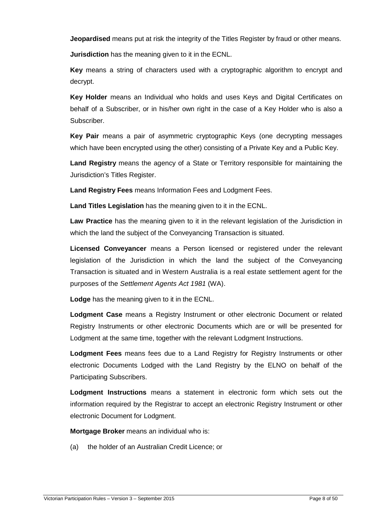**Jeopardised** means put at risk the integrity of the Titles Register by fraud or other means.

**Jurisdiction** has the meaning given to it in the ECNL.

**Key** means a string of characters used with a cryptographic algorithm to encrypt and decrypt.

**Key Holder** means an Individual who holds and uses Keys and Digital Certificates on behalf of a Subscriber, or in his/her own right in the case of a Key Holder who is also a Subscriber.

**Key Pair** means a pair of asymmetric cryptographic Keys (one decrypting messages which have been encrypted using the other) consisting of a Private Key and a Public Key.

**Land Registry** means the agency of a State or Territory responsible for maintaining the Jurisdiction's Titles Register.

**Land Registry Fees** means Information Fees and Lodgment Fees.

**Land Titles Legislation** has the meaning given to it in the ECNL.

**Law Practice** has the meaning given to it in the relevant legislation of the Jurisdiction in which the land the subject of the Conveyancing Transaction is situated.

**Licensed Conveyancer** means a Person licensed or registered under the relevant legislation of the Jurisdiction in which the land the subject of the Conveyancing Transaction is situated and in Western Australia is a real estate settlement agent for the purposes of the Settlement Agents Act 1981 (WA).

**Lodge** has the meaning given to it in the ECNL.

**Lodgment Case** means a Registry Instrument or other electronic Document or related Registry Instruments or other electronic Documents which are or will be presented for Lodgment at the same time, together with the relevant Lodgment Instructions.

**Lodgment Fees** means fees due to a Land Registry for Registry Instruments or other electronic Documents Lodged with the Land Registry by the ELNO on behalf of the Participating Subscribers.

**Lodgment Instructions** means a statement in electronic form which sets out the information required by the Registrar to accept an electronic Registry Instrument or other electronic Document for Lodgment.

**Mortgage Broker** means an individual who is:

(a) the holder of an Australian Credit Licence; or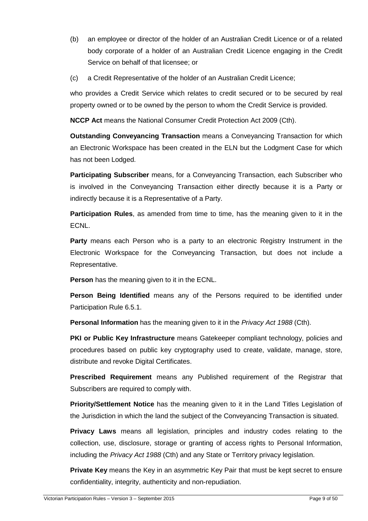- (b) an employee or director of the holder of an Australian Credit Licence or of a related body corporate of a holder of an Australian Credit Licence engaging in the Credit Service on behalf of that licensee; or
- (c) a Credit Representative of the holder of an Australian Credit Licence;

who provides a Credit Service which relates to credit secured or to be secured by real property owned or to be owned by the person to whom the Credit Service is provided.

**NCCP Act** means the National Consumer Credit Protection Act 2009 (Cth).

**Outstanding Conveyancing Transaction** means a Conveyancing Transaction for which an Electronic Workspace has been created in the ELN but the Lodgment Case for which has not been Lodged.

**Participating Subscriber** means, for a Conveyancing Transaction, each Subscriber who is involved in the Conveyancing Transaction either directly because it is a Party or indirectly because it is a Representative of a Party.

**Participation Rules**, as amended from time to time, has the meaning given to it in the ECNL.

**Party** means each Person who is a party to an electronic Registry Instrument in the Electronic Workspace for the Conveyancing Transaction, but does not include a Representative.

**Person** has the meaning given to it in the ECNL.

**Person Being Identified** means any of the Persons required to be identified under Participation Rule 6.5.1.

**Personal Information** has the meaning given to it in the *Privacy Act 1988* (Cth).

**PKI or Public Key Infrastructure** means Gatekeeper compliant technology, policies and procedures based on public key cryptography used to create, validate, manage, store, distribute and revoke Digital Certificates.

**Prescribed Requirement** means any Published requirement of the Registrar that Subscribers are required to comply with.

**Priority/Settlement Notice** has the meaning given to it in the Land Titles Legislation of the Jurisdiction in which the land the subject of the Conveyancing Transaction is situated.

**Privacy Laws** means all legislation, principles and industry codes relating to the collection, use, disclosure, storage or granting of access rights to Personal Information, including the Privacy Act 1988 (Cth) and any State or Territory privacy legislation.

**Private Key** means the Key in an asymmetric Key Pair that must be kept secret to ensure confidentiality, integrity, authenticity and non-repudiation.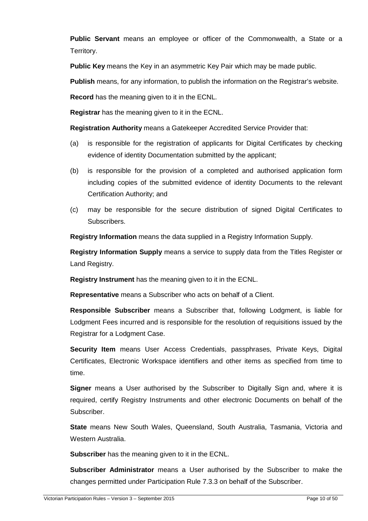**Public Servant** means an employee or officer of the Commonwealth, a State or a Territory.

**Public Key** means the Key in an asymmetric Key Pair which may be made public.

**Publish** means, for any information, to publish the information on the Registrar's website.

**Record** has the meaning given to it in the ECNL.

**Registrar** has the meaning given to it in the ECNL.

**Registration Authority** means a Gatekeeper Accredited Service Provider that:

- (a) is responsible for the registration of applicants for Digital Certificates by checking evidence of identity Documentation submitted by the applicant;
- (b) is responsible for the provision of a completed and authorised application form including copies of the submitted evidence of identity Documents to the relevant Certification Authority; and
- (c) may be responsible for the secure distribution of signed Digital Certificates to Subscribers.

**Registry Information** means the data supplied in a Registry Information Supply.

**Registry Information Supply** means a service to supply data from the Titles Register or Land Registry.

**Registry Instrument** has the meaning given to it in the ECNL.

**Representative** means a Subscriber who acts on behalf of a Client.

**Responsible Subscriber** means a Subscriber that, following Lodgment, is liable for Lodgment Fees incurred and is responsible for the resolution of requisitions issued by the Registrar for a Lodgment Case.

**Security Item** means User Access Credentials, passphrases, Private Keys, Digital Certificates, Electronic Workspace identifiers and other items as specified from time to time.

**Signer** means a User authorised by the Subscriber to Digitally Sign and, where it is required, certify Registry Instruments and other electronic Documents on behalf of the Subscriber.

**State** means New South Wales, Queensland, South Australia, Tasmania, Victoria and Western Australia.

**Subscriber** has the meaning given to it in the ECNL.

**Subscriber Administrator** means a User authorised by the Subscriber to make the changes permitted under Participation Rule 7.3.3 on behalf of the Subscriber.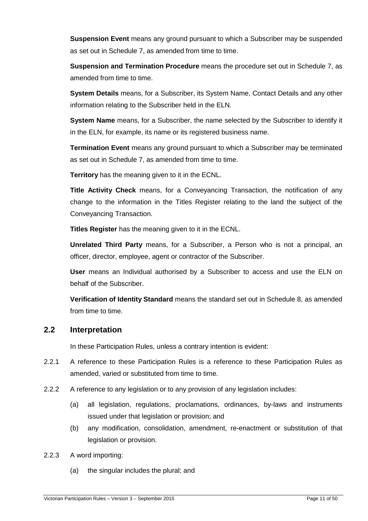**Suspension Event** means any ground pursuant to which a Subscriber may be suspended as set out in Schedule 7, as amended from time to time.

**Suspension and Termination Procedure** means the procedure set out in Schedule 7, as amended from time to time.

**System Details** means, for a Subscriber, its System Name, Contact Details and any other information relating to the Subscriber held in the ELN.

**System Name** means, for a Subscriber, the name selected by the Subscriber to identify it in the ELN, for example, its name or its registered business name.

**Termination Event** means any ground pursuant to which a Subscriber may be terminated as set out in Schedule 7, as amended from time to time.

**Territory** has the meaning given to it in the ECNL.

**Title Activity Check** means, for a Conveyancing Transaction, the notification of any change to the information in the Titles Register relating to the land the subject of the Conveyancing Transaction.

**Titles Register** has the meaning given to it in the ECNL.

**Unrelated Third Party** means, for a Subscriber, a Person who is not a principal, an officer, director, employee, agent or contractor of the Subscriber.

**User** means an Individual authorised by a Subscriber to access and use the ELN on behalf of the Subscriber.

**Verification of Identity Standard** means the standard set out in Schedule 8, as amended from time to time.

## **2.2 Interpretation**

In these Participation Rules, unless a contrary intention is evident:

- 2.2.1 A reference to these Participation Rules is a reference to these Participation Rules as amended, varied or substituted from time to time.
- 2.2.2 A reference to any legislation or to any provision of any legislation includes:
	- (a) all legislation, regulations, proclamations, ordinances, by-laws and instruments issued under that legislation or provision; and
	- (b) any modification, consolidation, amendment, re-enactment or substitution of that legislation or provision.
- 2.2.3 A word importing:
	- (a) the singular includes the plural; and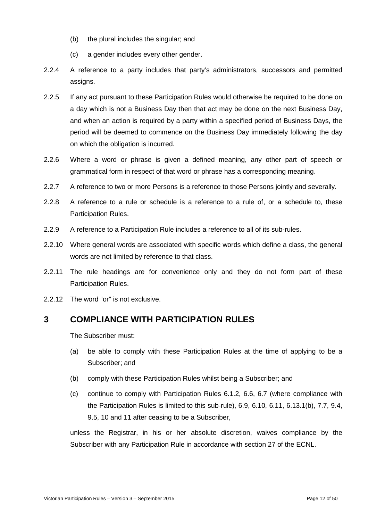- (b) the plural includes the singular; and
- (c) a gender includes every other gender.
- 2.2.4 A reference to a party includes that party's administrators, successors and permitted assigns.
- 2.2.5 If any act pursuant to these Participation Rules would otherwise be required to be done on a day which is not a Business Day then that act may be done on the next Business Day, and when an action is required by a party within a specified period of Business Days, the period will be deemed to commence on the Business Day immediately following the day on which the obligation is incurred.
- 2.2.6 Where a word or phrase is given a defined meaning, any other part of speech or grammatical form in respect of that word or phrase has a corresponding meaning.
- 2.2.7 A reference to two or more Persons is a reference to those Persons jointly and severally.
- 2.2.8 A reference to a rule or schedule is a reference to a rule of, or a schedule to, these Participation Rules.
- 2.2.9 A reference to a Participation Rule includes a reference to all of its sub-rules.
- 2.2.10 Where general words are associated with specific words which define a class, the general words are not limited by reference to that class.
- 2.2.11 The rule headings are for convenience only and they do not form part of these Participation Rules.
- 2.2.12 The word "or" is not exclusive.

## **3 COMPLIANCE WITH PARTICIPATION RULES**

The Subscriber must:

- (a) be able to comply with these Participation Rules at the time of applying to be a Subscriber; and
- (b) comply with these Participation Rules whilst being a Subscriber; and
- (c) continue to comply with Participation Rules 6.1.2, 6.6, 6.7 (where compliance with the Participation Rules is limited to this sub-rule), 6.9, 6.10, 6.11, 6.13.1(b), 7.7, 9.4, 9.5, 10 and 11 after ceasing to be a Subscriber,

unless the Registrar, in his or her absolute discretion, waives compliance by the Subscriber with any Participation Rule in accordance with section 27 of the ECNL.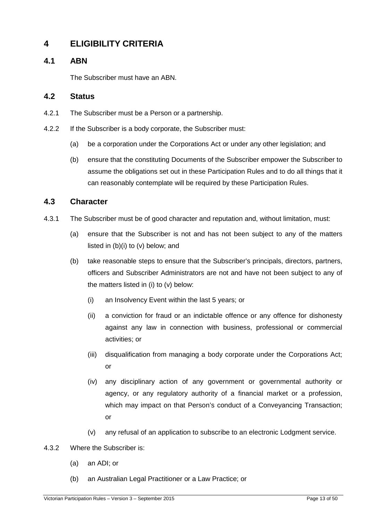## **4 ELIGIBILITY CRITERIA**

## **4.1 ABN**

The Subscriber must have an ABN.

## **4.2 Status**

- 4.2.1 The Subscriber must be a Person or a partnership.
- 4.2.2 If the Subscriber is a body corporate, the Subscriber must:
	- (a) be a corporation under the Corporations Act or under any other legislation; and
	- (b) ensure that the constituting Documents of the Subscriber empower the Subscriber to assume the obligations set out in these Participation Rules and to do all things that it can reasonably contemplate will be required by these Participation Rules.

## **4.3 Character**

- 4.3.1 The Subscriber must be of good character and reputation and, without limitation, must:
	- (a) ensure that the Subscriber is not and has not been subject to any of the matters listed in (b)(i) to (v) below; and
	- (b) take reasonable steps to ensure that the Subscriber's principals, directors, partners, officers and Subscriber Administrators are not and have not been subject to any of the matters listed in (i) to (v) below:
		- (i) an Insolvency Event within the last 5 years; or
		- (ii) a conviction for fraud or an indictable offence or any offence for dishonesty against any law in connection with business, professional or commercial activities; or
		- (iii) disqualification from managing a body corporate under the Corporations Act; or
		- (iv) any disciplinary action of any government or governmental authority or agency, or any regulatory authority of a financial market or a profession, which may impact on that Person's conduct of a Conveyancing Transaction; or
		- (v) any refusal of an application to subscribe to an electronic Lodgment service.
- 4.3.2 Where the Subscriber is:
	- (a) an ADI; or
	- (b) an Australian Legal Practitioner or a Law Practice; or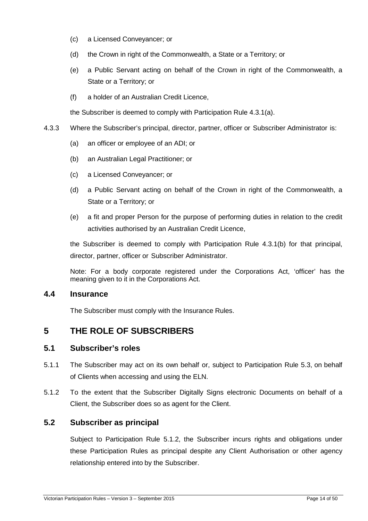- (c) a Licensed Conveyancer; or
- (d) the Crown in right of the Commonwealth, a State or a Territory; or
- (e) a Public Servant acting on behalf of the Crown in right of the Commonwealth, a State or a Territory; or
- (f) a holder of an Australian Credit Licence,

the Subscriber is deemed to comply with Participation Rule 4.3.1(a).

- 4.3.3 Where the Subscriber's principal, director, partner, officer or Subscriber Administrator is:
	- (a) an officer or employee of an ADI; or
	- (b) an Australian Legal Practitioner; or
	- (c) a Licensed Conveyancer; or
	- (d) a Public Servant acting on behalf of the Crown in right of the Commonwealth, a State or a Territory; or
	- (e) a fit and proper Person for the purpose of performing duties in relation to the credit activities authorised by an Australian Credit Licence,

the Subscriber is deemed to comply with Participation Rule 4.3.1(b) for that principal, director, partner, officer or Subscriber Administrator.

Note: For a body corporate registered under the Corporations Act, 'officer' has the meaning given to it in the Corporations Act.

## **4.4 Insurance**

The Subscriber must comply with the Insurance Rules.

## **5 THE ROLE OF SUBSCRIBERS**

## **5.1 Subscriber's roles**

- 5.1.1 The Subscriber may act on its own behalf or, subject to Participation Rule 5.3, on behalf of Clients when accessing and using the ELN.
- 5.1.2 To the extent that the Subscriber Digitally Signs electronic Documents on behalf of a Client, the Subscriber does so as agent for the Client.

## **5.2 Subscriber as principal**

Subject to Participation Rule 5.1.2, the Subscriber incurs rights and obligations under these Participation Rules as principal despite any Client Authorisation or other agency relationship entered into by the Subscriber.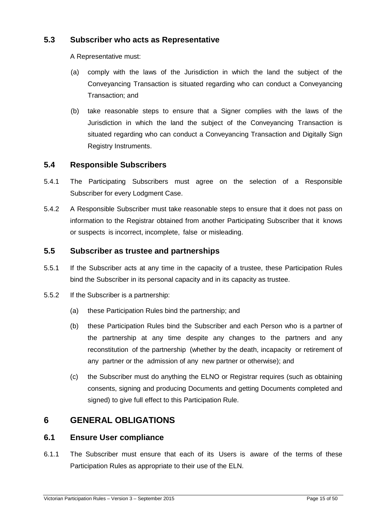## **5.3 Subscriber who acts as Representative**

A Representative must:

- (a) comply with the laws of the Jurisdiction in which the land the subject of the Conveyancing Transaction is situated regarding who can conduct a Conveyancing Transaction; and
- (b) take reasonable steps to ensure that a Signer complies with the laws of the Jurisdiction in which the land the subject of the Conveyancing Transaction is situated regarding who can conduct a Conveyancing Transaction and Digitally Sign Registry Instruments.

## **5.4 Responsible Subscribers**

- 5.4.1 The Participating Subscribers must agree on the selection of a Responsible Subscriber for every Lodgment Case.
- 5.4.2 A Responsible Subscriber must take reasonable steps to ensure that it does not pass on information to the Registrar obtained from another Participating Subscriber that it knows or suspects is incorrect, incomplete, false or misleading.

## **5.5 Subscriber as trustee and partnerships**

- 5.5.1 If the Subscriber acts at any time in the capacity of a trustee, these Participation Rules bind the Subscriber in its personal capacity and in its capacity as trustee.
- 5.5.2 If the Subscriber is a partnership:
	- (a) these Participation Rules bind the partnership; and
	- (b) these Participation Rules bind the Subscriber and each Person who is a partner of the partnership at any time despite any changes to the partners and any reconstitution of the partnership (whether by the death, incapacity or retirement of any partner or the admission of any new partner or otherwise); and
	- (c) the Subscriber must do anything the ELNO or Registrar requires (such as obtaining consents, signing and producing Documents and getting Documents completed and signed) to give full effect to this Participation Rule.

## **6 GENERAL OBLIGATIONS**

## **6.1 Ensure User compliance**

6.1.1 The Subscriber must ensure that each of its Users is aware of the terms of these Participation Rules as appropriate to their use of the ELN.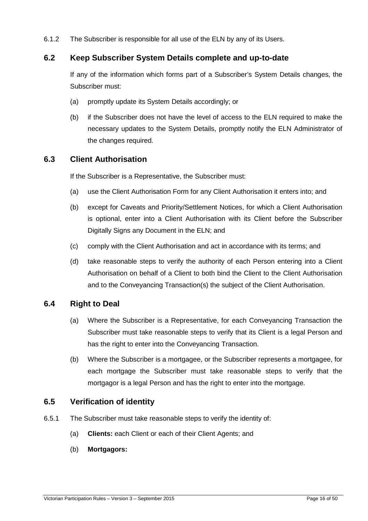6.1.2 The Subscriber is responsible for all use of the ELN by any of its Users.

## **6.2 Keep Subscriber System Details complete and up-to-date**

If any of the information which forms part of a Subscriber's System Details changes, the Subscriber must:

- (a) promptly update its System Details accordingly; or
- (b) if the Subscriber does not have the level of access to the ELN required to make the necessary updates to the System Details, promptly notify the ELN Administrator of the changes required.

## **6.3 Client Authorisation**

If the Subscriber is a Representative, the Subscriber must:

- (a) use the Client Authorisation Form for any Client Authorisation it enters into; and
- (b) except for Caveats and Priority/Settlement Notices, for which a Client Authorisation is optional, enter into a Client Authorisation with its Client before the Subscriber Digitally Signs any Document in the ELN; and
- (c) comply with the Client Authorisation and act in accordance with its terms; and
- (d) take reasonable steps to verify the authority of each Person entering into a Client Authorisation on behalf of a Client to both bind the Client to the Client Authorisation and to the Conveyancing Transaction(s) the subject of the Client Authorisation.

## **6.4 Right to Deal**

- (a) Where the Subscriber is a Representative, for each Conveyancing Transaction the Subscriber must take reasonable steps to verify that its Client is a legal Person and has the right to enter into the Conveyancing Transaction.
- (b) Where the Subscriber is a mortgagee, or the Subscriber represents a mortgagee, for each mortgage the Subscriber must take reasonable steps to verify that the mortgagor is a legal Person and has the right to enter into the mortgage.

## **6.5 Verification of identity**

- 6.5.1 The Subscriber must take reasonable steps to verify the identity of:
	- (a) **Clients:** each Client or each of their Client Agents; and
	- (b) **Mortgagors:**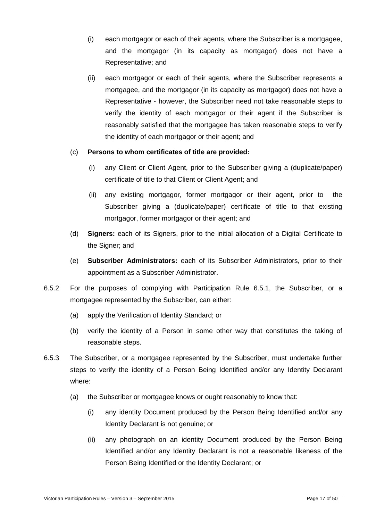- (i) each mortgagor or each of their agents, where the Subscriber is a mortgagee, and the mortgagor (in its capacity as mortgagor) does not have a Representative; and
- (ii) each mortgagor or each of their agents, where the Subscriber represents a mortgagee, and the mortgagor (in its capacity as mortgagor) does not have a Representative - however, the Subscriber need not take reasonable steps to verify the identity of each mortgagor or their agent if the Subscriber is reasonably satisfied that the mortgagee has taken reasonable steps to verify the identity of each mortgagor or their agent; and

#### (c) **Persons to whom certificates of title are provided:**

- (i) any Client or Client Agent, prior to the Subscriber giving a (duplicate/paper) certificate of title to that Client or Client Agent; and
- (ii) any existing mortgagor, former mortgagor or their agent, prior to the Subscriber giving a (duplicate/paper) certificate of title to that existing mortgagor, former mortgagor or their agent; and
- (d) **Signers:** each of its Signers, prior to the initial allocation of a Digital Certificate to the Signer; and
- (e) **Subscriber Administrators:** each of its Subscriber Administrators, prior to their appointment as a Subscriber Administrator.
- 6.5.2 For the purposes of complying with Participation Rule 6.5.1, the Subscriber, or a mortgagee represented by the Subscriber, can either:
	- (a) apply the Verification of Identity Standard; or
	- (b) verify the identity of a Person in some other way that constitutes the taking of reasonable steps.
- 6.5.3 The Subscriber, or a mortgagee represented by the Subscriber, must undertake further steps to verify the identity of a Person Being Identified and/or any Identity Declarant where:
	- (a) the Subscriber or mortgagee knows or ought reasonably to know that:
		- (i) any identity Document produced by the Person Being Identified and/or any Identity Declarant is not genuine; or
		- (ii) any photograph on an identity Document produced by the Person Being Identified and/or any Identity Declarant is not a reasonable likeness of the Person Being Identified or the Identity Declarant; or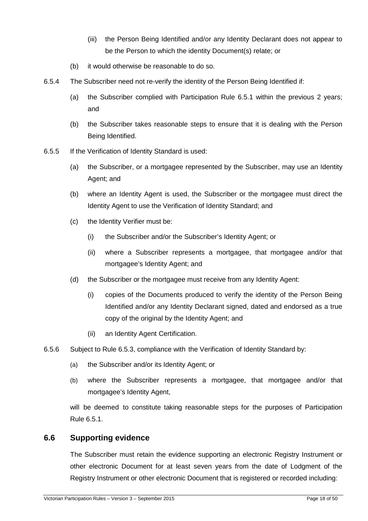- (iii) the Person Being Identified and/or any Identity Declarant does not appear to be the Person to which the identity Document(s) relate; or
- (b) it would otherwise be reasonable to do so.
- 6.5.4 The Subscriber need not re-verify the identity of the Person Being Identified if:
	- (a) the Subscriber complied with Participation Rule 6.5.1 within the previous 2 years; and
	- (b) the Subscriber takes reasonable steps to ensure that it is dealing with the Person Being Identified.
- 6.5.5 If the Verification of Identity Standard is used:
	- (a) the Subscriber, or a mortgagee represented by the Subscriber, may use an Identity Agent; and
	- (b) where an Identity Agent is used, the Subscriber or the mortgagee must direct the Identity Agent to use the Verification of Identity Standard; and
	- (c) the Identity Verifier must be:
		- (i) the Subscriber and/or the Subscriber's Identity Agent; or
		- (ii) where a Subscriber represents a mortgagee, that mortgagee and/or that mortgagee's Identity Agent; and
	- (d) the Subscriber or the mortgagee must receive from any Identity Agent:
		- (i) copies of the Documents produced to verify the identity of the Person Being Identified and/or any Identity Declarant signed, dated and endorsed as a true copy of the original by the Identity Agent; and
		- (ii) an Identity Agent Certification.
- 6.5.6 Subject to Rule 6.5.3, compliance with the Verification of Identity Standard by:
	- (a) the Subscriber and/or its Identity Agent; or
	- (b) where the Subscriber represents a mortgagee, that mortgagee and/or that mortgagee's Identity Agent,

will be deemed to constitute taking reasonable steps for the purposes of Participation Rule 6.5.1.

## **6.6 Supporting evidence**

The Subscriber must retain the evidence supporting an electronic Registry Instrument or other electronic Document for at least seven years from the date of Lodgment of the Registry Instrument or other electronic Document that is registered or recorded including: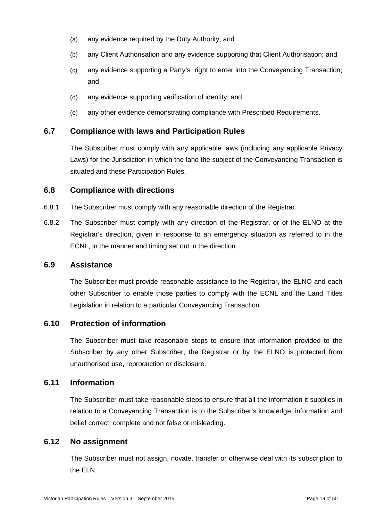- (a) any evidence required by the Duty Authority; and
- (b) any Client Authorisation and any evidence supporting that Client Authorisation; and
- (c) any evidence supporting a Party's right to enter into the Conveyancing Transaction; and
- (d) any evidence supporting verification of identity; and
- (e) any other evidence demonstrating compliance with Prescribed Requirements.

## **6.7 Compliance with laws and Participation Rules**

The Subscriber must comply with any applicable laws (including any applicable Privacy Laws) for the Jurisdiction in which the land the subject of the Conveyancing Transaction is situated and these Participation Rules.

## **6.8 Compliance with directions**

- 6.8.1 The Subscriber must comply with any reasonable direction of the Registrar.
- 6.8.2 The Subscriber must comply with any direction of the Registrar, or of the ELNO at the Registrar's direction, given in response to an emergency situation as referred to in the ECNL, in the manner and timing set out in the direction.

## **6.9 Assistance**

The Subscriber must provide reasonable assistance to the Registrar, the ELNO and each other Subscriber to enable those parties to comply with the ECNL and the Land Titles Legislation in relation to a particular Conveyancing Transaction.

## **6.10 Protection of information**

The Subscriber must take reasonable steps to ensure that information provided to the Subscriber by any other Subscriber, the Registrar or by the ELNO is protected from unauthorised use, reproduction or disclosure.

## **6.11 Information**

The Subscriber must take reasonable steps to ensure that all the information it supplies in relation to a Conveyancing Transaction is to the Subscriber's knowledge, information and belief correct, complete and not false or misleading.

## **6.12 No assignment**

The Subscriber must not assign, novate, transfer or otherwise deal with its subscription to the ELN.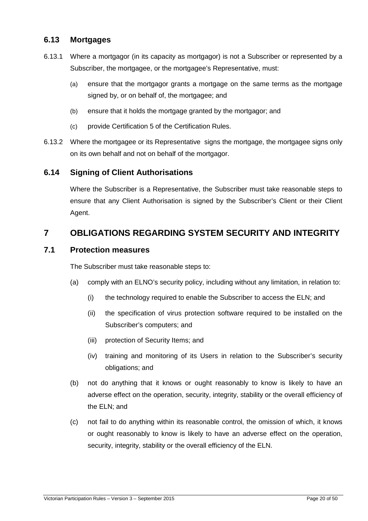## **6.13 Mortgages**

- 6.13.1 Where a mortgagor (in its capacity as mortgagor) is not a Subscriber or represented by a Subscriber, the mortgagee, or the mortgagee's Representative, must:
	- (a) ensure that the mortgagor grants a mortgage on the same terms as the mortgage signed by, or on behalf of, the mortgagee; and
	- (b) ensure that it holds the mortgage granted by the mortgagor; and
	- (c) provide Certification 5 of the Certification Rules.
- 6.13.2 Where the mortgagee or its Representative signs the mortgage, the mortgagee signs only on its own behalf and not on behalf of the mortgagor.

## **6.14 Signing of Client Authorisations**

Where the Subscriber is a Representative, the Subscriber must take reasonable steps to ensure that any Client Authorisation is signed by the Subscriber's Client or their Client Agent.

## **7 OBLIGATIONS REGARDING SYSTEM SECURITY AND INTEGRITY**

## **7.1 Protection measures**

The Subscriber must take reasonable steps to:

- (a) comply with an ELNO's security policy, including without any limitation, in relation to:
	- (i) the technology required to enable the Subscriber to access the ELN; and
	- (ii) the specification of virus protection software required to be installed on the Subscriber's computers; and
	- (iii) protection of Security Items; and
	- (iv) training and monitoring of its Users in relation to the Subscriber's security obligations; and
- (b) not do anything that it knows or ought reasonably to know is likely to have an adverse effect on the operation, security, integrity, stability or the overall efficiency of the ELN; and
- (c) not fail to do anything within its reasonable control, the omission of which, it knows or ought reasonably to know is likely to have an adverse effect on the operation, security, integrity, stability or the overall efficiency of the ELN.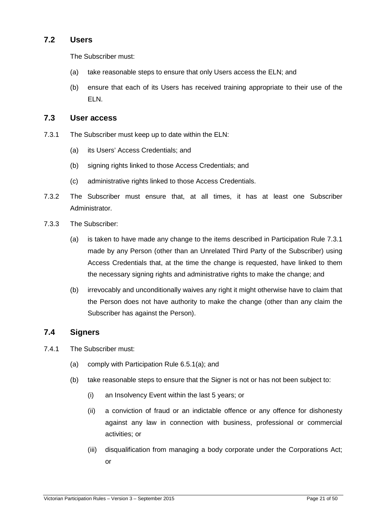## **7.2 Users**

The Subscriber must:

- (a) take reasonable steps to ensure that only Users access the ELN; and
- (b) ensure that each of its Users has received training appropriate to their use of the ELN.

## **7.3 User access**

- 7.3.1 The Subscriber must keep up to date within the ELN:
	- (a) its Users' Access Credentials; and
	- (b) signing rights linked to those Access Credentials; and
	- (c) administrative rights linked to those Access Credentials.
- 7.3.2 The Subscriber must ensure that, at all times, it has at least one Subscriber Administrator.
- 7.3.3 The Subscriber:
	- (a) is taken to have made any change to the items described in Participation Rule 7.3.1 made by any Person (other than an Unrelated Third Party of the Subscriber) using Access Credentials that, at the time the change is requested, have linked to them the necessary signing rights and administrative rights to make the change; and
	- (b) irrevocably and unconditionally waives any right it might otherwise have to claim that the Person does not have authority to make the change (other than any claim the Subscriber has against the Person).

## **7.4 Signers**

- 7.4.1 The Subscriber must:
	- (a) comply with Participation Rule 6.5.1(a); and
	- (b) take reasonable steps to ensure that the Signer is not or has not been subject to:
		- (i) an Insolvency Event within the last 5 years; or
		- (ii) a conviction of fraud or an indictable offence or any offence for dishonesty against any law in connection with business, professional or commercial activities; or
		- (iii) disqualification from managing a body corporate under the Corporations Act; or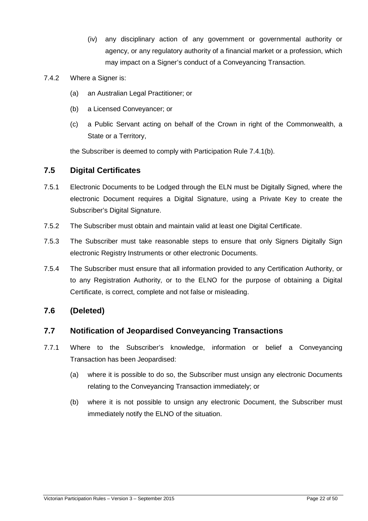- (iv) any disciplinary action of any government or governmental authority or agency, or any regulatory authority of a financial market or a profession, which may impact on a Signer's conduct of a Conveyancing Transaction.
- 7.4.2 Where a Signer is:
	- (a) an Australian Legal Practitioner; or
	- (b) a Licensed Conveyancer; or
	- (c) a Public Servant acting on behalf of the Crown in right of the Commonwealth, a State or a Territory,

the Subscriber is deemed to comply with Participation Rule 7.4.1(b).

## **7.5 Digital Certificates**

- 7.5.1 Electronic Documents to be Lodged through the ELN must be Digitally Signed, where the electronic Document requires a Digital Signature, using a Private Key to create the Subscriber's Digital Signature.
- 7.5.2 The Subscriber must obtain and maintain valid at least one Digital Certificate.
- 7.5.3 The Subscriber must take reasonable steps to ensure that only Signers Digitally Sign electronic Registry Instruments or other electronic Documents.
- 7.5.4 The Subscriber must ensure that all information provided to any Certification Authority, or to any Registration Authority, or to the ELNO for the purpose of obtaining a Digital Certificate, is correct, complete and not false or misleading.

## **7.6 (Deleted)**

## **7.7 Notification of Jeopardised Conveyancing Transactions**

- 7.7.1 Where to the Subscriber's knowledge, information or belief a Conveyancing Transaction has been Jeopardised:
	- (a) where it is possible to do so, the Subscriber must unsign any electronic Documents relating to the Conveyancing Transaction immediately; or
	- (b) where it is not possible to unsign any electronic Document, the Subscriber must immediately notify the ELNO of the situation.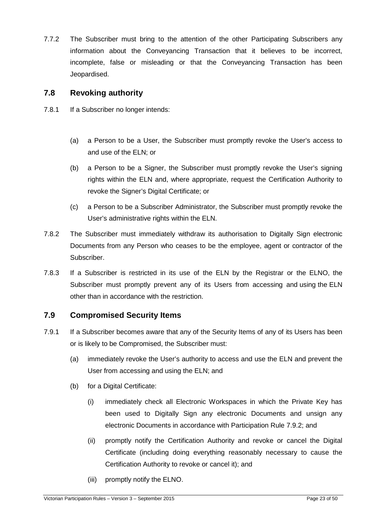7.7.2 The Subscriber must bring to the attention of the other Participating Subscribers any information about the Conveyancing Transaction that it believes to be incorrect, incomplete, false or misleading or that the Conveyancing Transaction has been Jeopardised.

## **7.8 Revoking authority**

- 7.8.1 If a Subscriber no longer intends:
	- (a) a Person to be a User, the Subscriber must promptly revoke the User's access to and use of the ELN; or
	- (b) a Person to be a Signer, the Subscriber must promptly revoke the User's signing rights within the ELN and, where appropriate, request the Certification Authority to revoke the Signer's Digital Certificate; or
	- (c) a Person to be a Subscriber Administrator, the Subscriber must promptly revoke the User's administrative rights within the ELN.
- 7.8.2 The Subscriber must immediately withdraw its authorisation to Digitally Sign electronic Documents from any Person who ceases to be the employee, agent or contractor of the Subscriber.
- 7.8.3 If a Subscriber is restricted in its use of the ELN by the Registrar or the ELNO, the Subscriber must promptly prevent any of its Users from accessing and using the ELN other than in accordance with the restriction.

## **7.9 Compromised Security Items**

- 7.9.1 If a Subscriber becomes aware that any of the Security Items of any of its Users has been or is likely to be Compromised, the Subscriber must:
	- (a) immediately revoke the User's authority to access and use the ELN and prevent the User from accessing and using the ELN; and
	- (b) for a Digital Certificate:
		- (i) immediately check all Electronic Workspaces in which the Private Key has been used to Digitally Sign any electronic Documents and unsign any electronic Documents in accordance with Participation Rule 7.9.2; and
		- (ii) promptly notify the Certification Authority and revoke or cancel the Digital Certificate (including doing everything reasonably necessary to cause the Certification Authority to revoke or cancel it); and
		- (iii) promptly notify the ELNO.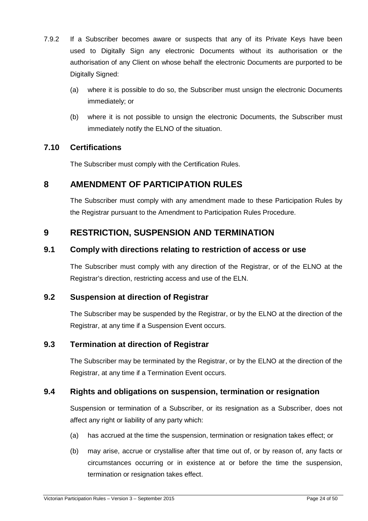- 7.9.2 If a Subscriber becomes aware or suspects that any of its Private Keys have been used to Digitally Sign any electronic Documents without its authorisation or the authorisation of any Client on whose behalf the electronic Documents are purported to be Digitally Signed:
	- (a) where it is possible to do so, the Subscriber must unsign the electronic Documents immediately; or
	- (b) where it is not possible to unsign the electronic Documents, the Subscriber must immediately notify the ELNO of the situation.

## **7.10 Certifications**

The Subscriber must comply with the Certification Rules.

## **8 AMENDMENT OF PARTICIPATION RULES**

The Subscriber must comply with any amendment made to these Participation Rules by the Registrar pursuant to the Amendment to Participation Rules Procedure.

## **9 RESTRICTION, SUSPENSION AND TERMINATION**

## **9.1 Comply with directions relating to restriction of access or use**

The Subscriber must comply with any direction of the Registrar, or of the ELNO at the Registrar's direction, restricting access and use of the ELN.

## **9.2 Suspension at direction of Registrar**

The Subscriber may be suspended by the Registrar, or by the ELNO at the direction of the Registrar, at any time if a Suspension Event occurs.

## **9.3 Termination at direction of Registrar**

The Subscriber may be terminated by the Registrar, or by the ELNO at the direction of the Registrar, at any time if a Termination Event occurs.

## **9.4 Rights and obligations on suspension, termination or resignation**

Suspension or termination of a Subscriber, or its resignation as a Subscriber, does not affect any right or liability of any party which:

- (a) has accrued at the time the suspension, termination or resignation takes effect; or
- (b) may arise, accrue or crystallise after that time out of, or by reason of, any facts or circumstances occurring or in existence at or before the time the suspension, termination or resignation takes effect.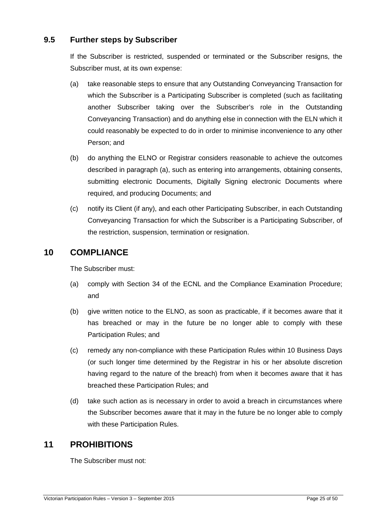## **9.5 Further steps by Subscriber**

If the Subscriber is restricted, suspended or terminated or the Subscriber resigns, the Subscriber must, at its own expense:

- (a) take reasonable steps to ensure that any Outstanding Conveyancing Transaction for which the Subscriber is a Participating Subscriber is completed (such as facilitating another Subscriber taking over the Subscriber's role in the Outstanding Conveyancing Transaction) and do anything else in connection with the ELN which it could reasonably be expected to do in order to minimise inconvenience to any other Person; and
- (b) do anything the ELNO or Registrar considers reasonable to achieve the outcomes described in paragraph (a), such as entering into arrangements, obtaining consents, submitting electronic Documents, Digitally Signing electronic Documents where required, and producing Documents; and
- (c) notify its Client (if any), and each other Participating Subscriber, in each Outstanding Conveyancing Transaction for which the Subscriber is a Participating Subscriber, of the restriction, suspension, termination or resignation.

## **10 COMPLIANCE**

The Subscriber must:

- (a) comply with Section 34 of the ECNL and the Compliance Examination Procedure; and
- (b) give written notice to the ELNO, as soon as practicable, if it becomes aware that it has breached or may in the future be no longer able to comply with these Participation Rules; and
- (c) remedy any non-compliance with these Participation Rules within 10 Business Days (or such longer time determined by the Registrar in his or her absolute discretion having regard to the nature of the breach) from when it becomes aware that it has breached these Participation Rules; and
- (d) take such action as is necessary in order to avoid a breach in circumstances where the Subscriber becomes aware that it may in the future be no longer able to comply with these Participation Rules.

## **11 PROHIBITIONS**

The Subscriber must not: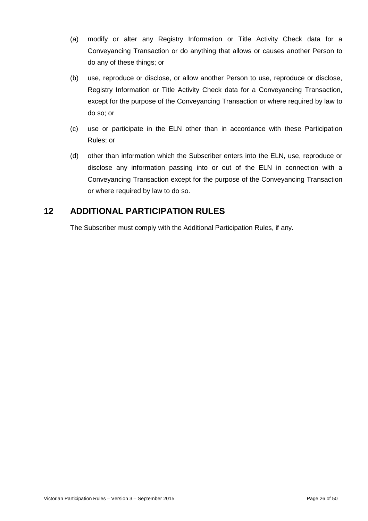- (a) modify or alter any Registry Information or Title Activity Check data for a Conveyancing Transaction or do anything that allows or causes another Person to do any of these things; or
- (b) use, reproduce or disclose, or allow another Person to use, reproduce or disclose, Registry Information or Title Activity Check data for a Conveyancing Transaction, except for the purpose of the Conveyancing Transaction or where required by law to do so; or
- (c) use or participate in the ELN other than in accordance with these Participation Rules; or
- (d) other than information which the Subscriber enters into the ELN, use, reproduce or disclose any information passing into or out of the ELN in connection with a Conveyancing Transaction except for the purpose of the Conveyancing Transaction or where required by law to do so.

## **12 ADDITIONAL PARTICIPATION RULES**

The Subscriber must comply with the Additional Participation Rules, if any.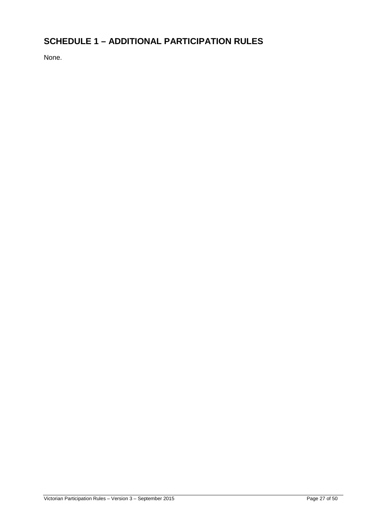## **SCHEDULE 1 – ADDITIONAL PARTICIPATION RULES**

None.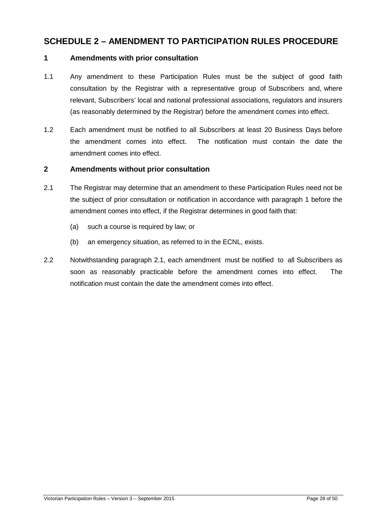## **SCHEDULE 2 – AMENDMENT TO PARTICIPATION RULES PROCEDURE**

#### **1 Amendments with prior consultation**

- 1.1 Any amendment to these Participation Rules must be the subject of good faith consultation by the Registrar with a representative group of Subscribers and, where relevant, Subscribers' local and national professional associations, regulators and insurers (as reasonably determined by the Registrar) before the amendment comes into effect.
- 1.2 Each amendment must be notified to all Subscribers at least 20 Business Days before the amendment comes into effect. The notification must contain the date the amendment comes into effect.

#### **2 Amendments without prior consultation**

- 2.1 The Registrar may determine that an amendment to these Participation Rules need not be the subject of prior consultation or notification in accordance with paragraph 1 before the amendment comes into effect, if the Registrar determines in good faith that:
	- (a) such a course is required by law; or
	- (b) an emergency situation, as referred to in the ECNL, exists.
- 2.2 Notwithstanding paragraph 2.1, each amendment must be notified to all Subscribers as soon as reasonably practicable before the amendment comes into effect. The notification must contain the date the amendment comes into effect.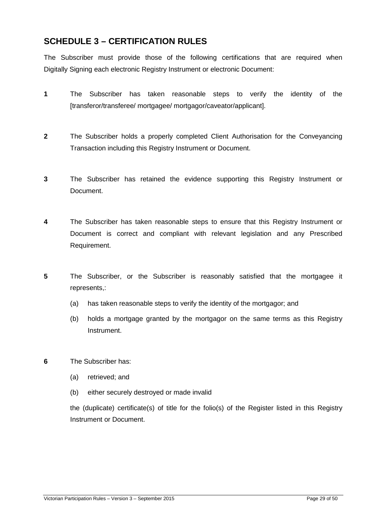## **SCHEDULE 3 – CERTIFICATION RULES**

The Subscriber must provide those of the following certifications that are required when Digitally Signing each electronic Registry Instrument or electronic Document:

- **1** The Subscriber has taken reasonable steps to verify the identity of the [transferor/transferee/ mortgagee/ mortgagor/caveator/applicant].
- **2** The Subscriber holds a properly completed Client Authorisation for the Conveyancing Transaction including this Registry Instrument or Document.
- **3** The Subscriber has retained the evidence supporting this Registry Instrument or Document.
- **4** The Subscriber has taken reasonable steps to ensure that this Registry Instrument or Document is correct and compliant with relevant legislation and any Prescribed Requirement.
- **5** The Subscriber, or the Subscriber is reasonably satisfied that the mortgagee it represents,:
	- (a) has taken reasonable steps to verify the identity of the mortgagor; and
	- (b) holds a mortgage granted by the mortgagor on the same terms as this Registry Instrument.
- **6** The Subscriber has:
	- (a) retrieved; and
	- (b) either securely destroyed or made invalid

the (duplicate) certificate(s) of title for the folio(s) of the Register listed in this Registry Instrument or Document.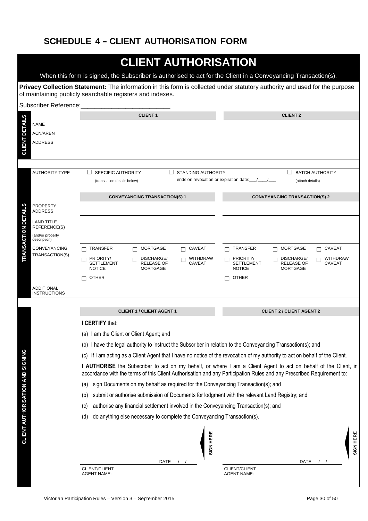## **SCHEDULE 4 - CLIENT AUTHORISATION FORM**

|                                         |                                                                                                                                                                                                                                  | <b>CLIENT AUTHORISATION</b>                                                                                                                                                                                                              |                                                                                                                                           |  |
|-----------------------------------------|----------------------------------------------------------------------------------------------------------------------------------------------------------------------------------------------------------------------------------|------------------------------------------------------------------------------------------------------------------------------------------------------------------------------------------------------------------------------------------|-------------------------------------------------------------------------------------------------------------------------------------------|--|
|                                         |                                                                                                                                                                                                                                  | When this form is signed, the Subscriber is authorised to act for the Client in a Conveyancing Transaction(s).                                                                                                                           |                                                                                                                                           |  |
|                                         |                                                                                                                                                                                                                                  | Privacy Collection Statement: The information in this form is collected under statutory authority and used for the purpose<br>of maintaining publicly searchable registers and indexes.                                                  |                                                                                                                                           |  |
|                                         | <b>Subscriber Reference:</b>                                                                                                                                                                                                     |                                                                                                                                                                                                                                          |                                                                                                                                           |  |
|                                         | <b>NAME</b>                                                                                                                                                                                                                      | <b>CLIENT1</b>                                                                                                                                                                                                                           | <b>CLIENT 2</b>                                                                                                                           |  |
| <b>CLIENT DETAILS</b>                   | <b>ACN/ARBN</b><br><b>ADDRESS</b>                                                                                                                                                                                                |                                                                                                                                                                                                                                          |                                                                                                                                           |  |
|                                         | <b>AUTHORITY TYPE</b><br><b>SPECIFIC AUTHORITY</b><br><b>STANDING AUTHORITY</b><br><b>BATCH AUTHORITY</b><br>$\Box$<br>$\mathbf{L}$<br>ends on revocation or expiration date:<br>(transaction details below)<br>(attach details) |                                                                                                                                                                                                                                          |                                                                                                                                           |  |
|                                         |                                                                                                                                                                                                                                  | <b>CONVEYANCING TRANSACTION(S) 1</b>                                                                                                                                                                                                     | <b>CONVEYANCING TRANSACTION(S) 2</b>                                                                                                      |  |
|                                         | <b>PROPERTY</b><br><b>ADDRESS</b>                                                                                                                                                                                                |                                                                                                                                                                                                                                          |                                                                                                                                           |  |
| <b>RANSACTION DETAILS</b>               | <b>LAND TITLE</b><br>REFERENCE(S)                                                                                                                                                                                                |                                                                                                                                                                                                                                          |                                                                                                                                           |  |
|                                         | (and/or property<br>description)                                                                                                                                                                                                 |                                                                                                                                                                                                                                          |                                                                                                                                           |  |
|                                         | <b>CONVEYANCING</b><br>TRANSACTION(S)                                                                                                                                                                                            | <b>MORTGAGE</b><br><b>CAVEAT</b><br>TRANSFER<br>П                                                                                                                                                                                        | <b>MORTGAGE</b><br>$\Box$ CAVEAT<br>TRANSFER                                                                                              |  |
|                                         |                                                                                                                                                                                                                                  | PRIORITY/<br>DISCHARGE/<br>WITHDRAW<br><b>SETTLEMENT</b><br><b>RELEASE OF</b><br><b>CAVEAT</b><br><b>NOTICE</b><br><b>MORTGAGE</b>                                                                                                       | <b>WITHDRAW</b><br>PRIORITY/<br>DISCHARGE/<br><b>SETTLEMENT</b><br><b>RELEASE OF</b><br><b>CAVEAT</b><br><b>NOTICE</b><br><b>MORTGAGE</b> |  |
|                                         |                                                                                                                                                                                                                                  | OTHER                                                                                                                                                                                                                                    | <b>OTHER</b>                                                                                                                              |  |
|                                         | <b>ADDITIONAL</b><br><b>INSTRUCTIONS</b>                                                                                                                                                                                         |                                                                                                                                                                                                                                          |                                                                                                                                           |  |
|                                         |                                                                                                                                                                                                                                  | <b>CLIENT 1 / CLIENT AGENT 1</b>                                                                                                                                                                                                         | <b>CLIENT 2 / CLIENT AGENT 2</b>                                                                                                          |  |
|                                         |                                                                                                                                                                                                                                  | I CERTIFY that:                                                                                                                                                                                                                          |                                                                                                                                           |  |
|                                         |                                                                                                                                                                                                                                  | (a) I am the Client or Client Agent; and                                                                                                                                                                                                 |                                                                                                                                           |  |
|                                         |                                                                                                                                                                                                                                  | (b) I have the legal authority to instruct the Subscriber in relation to the Conveyancing Transaction(s); and                                                                                                                            |                                                                                                                                           |  |
|                                         |                                                                                                                                                                                                                                  | (c) If I am acting as a Client Agent that I have no notice of the revocation of my authority to act on behalf of the Client.                                                                                                             |                                                                                                                                           |  |
|                                         |                                                                                                                                                                                                                                  | I AUTHORISE the Subscriber to act on my behalf, or where I am a Client Agent to act on behalf of the Client, in<br>accordance with the terms of this Client Authorisation and any Participation Rules and any Prescribed Requirement to: |                                                                                                                                           |  |
|                                         |                                                                                                                                                                                                                                  | sign Documents on my behalf as required for the Conveyancing Transaction(s); and<br>(a)                                                                                                                                                  |                                                                                                                                           |  |
|                                         |                                                                                                                                                                                                                                  | submit or authorise submission of Documents for lodgment with the relevant Land Registry; and<br>(b)                                                                                                                                     |                                                                                                                                           |  |
|                                         |                                                                                                                                                                                                                                  | authorise any financial settlement involved in the Conveyancing Transaction(s); and<br>(c)                                                                                                                                               |                                                                                                                                           |  |
|                                         |                                                                                                                                                                                                                                  | do anything else necessary to complete the Conveyancing Transaction(s).<br>(d)                                                                                                                                                           |                                                                                                                                           |  |
| <b>CLIENT AUTHORISATION AND SIGNING</b> |                                                                                                                                                                                                                                  | SIGN HERE                                                                                                                                                                                                                                | SIGN HERE                                                                                                                                 |  |
|                                         |                                                                                                                                                                                                                                  | <b>DATE</b><br>CLIENT/CLIENT                                                                                                                                                                                                             | <b>DATE</b><br><b>CLIENT/CLIENT</b>                                                                                                       |  |
|                                         |                                                                                                                                                                                                                                  | <b>AGENT NAME:</b>                                                                                                                                                                                                                       | <b>AGENT NAME:</b>                                                                                                                        |  |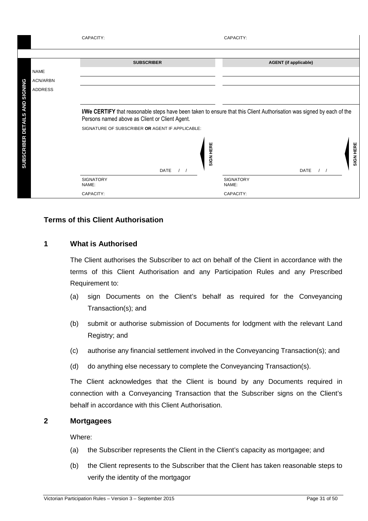|                                | CAPACITY:                                                                                                             | CAPACITY:                    |
|--------------------------------|-----------------------------------------------------------------------------------------------------------------------|------------------------------|
|                                |                                                                                                                       |                              |
|                                | <b>SUBSCRIBER</b>                                                                                                     | <b>AGENT</b> (if applicable) |
| <b>NAME</b>                    |                                                                                                                       |                              |
| <b>ACN/ARBN</b>                |                                                                                                                       |                              |
| ADDRESS                        |                                                                                                                       |                              |
|                                |                                                                                                                       |                              |
|                                | I/We CERTIFY that reasonable steps have been taken to ensure that this Client Authorisation was signed by each of the |                              |
|                                | Persons named above as Client or Client Agent.                                                                        |                              |
|                                | SIGNATURE OF SUBSCRIBER OR AGENT IF APPLICABLE:                                                                       |                              |
| SUBSCRIBER DETAILS AND SIGNING | SIGN HERE<br><b>DATE</b>                                                                                              | SIGN HERE<br><b>DATE</b>     |
|                                | <b>SIGNATORY</b><br>NAME:                                                                                             | <b>SIGNATORY</b><br>NAME:    |
|                                | CAPACITY:                                                                                                             | CAPACITY:                    |

## **Terms of this Client Authorisation**

## **1 What is Authorised**

The Client authorises the Subscriber to act on behalf of the Client in accordance with the terms of this Client Authorisation and any Participation Rules and any Prescribed Requirement to:

- (a) sign Documents on the Client's behalf as required for the Conveyancing Transaction(s); and
- (b) submit or authorise submission of Documents for lodgment with the relevant Land Registry; and
- (c) authorise any financial settlement involved in the Conveyancing Transaction(s); and
- (d) do anything else necessary to complete the Conveyancing Transaction(s).

The Client acknowledges that the Client is bound by any Documents required in connection with a Conveyancing Transaction that the Subscriber signs on the Client's behalf in accordance with this Client Authorisation.

## **2 Mortgagees**

Where:

- (a) the Subscriber represents the Client in the Client's capacity as mortgagee; and
- (b) the Client represents to the Subscriber that the Client has taken reasonable steps to verify the identity of the mortgagor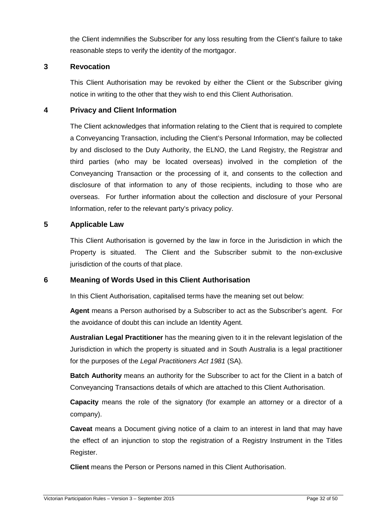the Client indemnifies the Subscriber for any loss resulting from the Client's failure to take reasonable steps to verify the identity of the mortgagor.

## **3 Revocation**

This Client Authorisation may be revoked by either the Client or the Subscriber giving notice in writing to the other that they wish to end this Client Authorisation.

## **4 Privacy and Client Information**

The Client acknowledges that information relating to the Client that is required to complete a Conveyancing Transaction, including the Client's Personal Information, may be collected by and disclosed to the Duty Authority, the ELNO, the Land Registry, the Registrar and third parties (who may be located overseas) involved in the completion of the Conveyancing Transaction or the processing of it, and consents to the collection and disclosure of that information to any of those recipients, including to those who are overseas. For further information about the collection and disclosure of your Personal Information, refer to the relevant party's privacy policy.

## **5 Applicable Law**

This Client Authorisation is governed by the law in force in the Jurisdiction in which the Property is situated. The Client and the Subscriber submit to the non-exclusive jurisdiction of the courts of that place.

## **6 Meaning of Words Used in this Client Authorisation**

In this Client Authorisation, capitalised terms have the meaning set out below:

**Agent** means a Person authorised by a Subscriber to act as the Subscriber's agent. For the avoidance of doubt this can include an Identity Agent.

**Australian Legal Practitioner** has the meaning given to it in the relevant legislation of the Jurisdiction in which the property is situated and in South Australia is a legal practitioner for the purposes of the Legal Practitioners Act 1981 (SA).

**Batch Authority** means an authority for the Subscriber to act for the Client in a batch of Conveyancing Transactions details of which are attached to this Client Authorisation.

**Capacity** means the role of the signatory (for example an attorney or a director of a company).

**Caveat** means a Document giving notice of a claim to an interest in land that may have the effect of an injunction to stop the registration of a Registry Instrument in the Titles Register.

**Client** means the Person or Persons named in this Client Authorisation.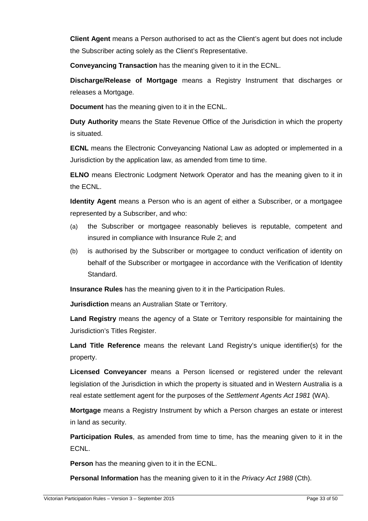**Client Agent** means a Person authorised to act as the Client's agent but does not include the Subscriber acting solely as the Client's Representative.

**Conveyancing Transaction** has the meaning given to it in the ECNL.

**Discharge/Release of Mortgage** means a Registry Instrument that discharges or releases a Mortgage.

**Document** has the meaning given to it in the ECNL.

**Duty Authority** means the State Revenue Office of the Jurisdiction in which the property is situated.

**ECNL** means the Electronic Conveyancing National Law as adopted or implemented in a Jurisdiction by the application law, as amended from time to time.

**ELNO** means Electronic Lodgment Network Operator and has the meaning given to it in the ECNL.

**Identity Agent** means a Person who is an agent of either a Subscriber, or a mortgagee represented by a Subscriber, and who:

- (a) the Subscriber or mortgagee reasonably believes is reputable, competent and insured in compliance with Insurance Rule 2; and
- (b) is authorised by the Subscriber or mortgagee to conduct verification of identity on behalf of the Subscriber or mortgagee in accordance with the Verification of Identity Standard.

**Insurance Rules** has the meaning given to it in the Participation Rules.

**Jurisdiction** means an Australian State or Territory.

**Land Registry** means the agency of a State or Territory responsible for maintaining the Jurisdiction's Titles Register.

**Land Title Reference** means the relevant Land Registry's unique identifier(s) for the property.

**Licensed Conveyancer** means a Person licensed or registered under the relevant legislation of the Jurisdiction in which the property is situated and in Western Australia is a real estate settlement agent for the purposes of the Settlement Agents Act 1981 (WA).

**Mortgage** means a Registry Instrument by which a Person charges an estate or interest in land as security.

**Participation Rules**, as amended from time to time, has the meaning given to it in the ECNL.

**Person** has the meaning given to it in the ECNL.

**Personal Information** has the meaning given to it in the *Privacy Act 1988* (Cth).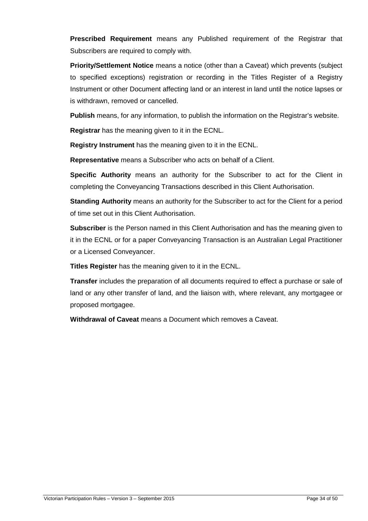**Prescribed Requirement** means any Published requirement of the Registrar that Subscribers are required to comply with.

**Priority/Settlement Notice** means a notice (other than a Caveat) which prevents (subject to specified exceptions) registration or recording in the Titles Register of a Registry Instrument or other Document affecting land or an interest in land until the notice lapses or is withdrawn, removed or cancelled.

**Publish** means, for any information, to publish the information on the Registrar's website.

**Registrar** has the meaning given to it in the ECNL.

**Registry Instrument** has the meaning given to it in the ECNL.

**Representative** means a Subscriber who acts on behalf of a Client.

**Specific Authority** means an authority for the Subscriber to act for the Client in completing the Conveyancing Transactions described in this Client Authorisation.

**Standing Authority** means an authority for the Subscriber to act for the Client for a period of time set out in this Client Authorisation.

**Subscriber** is the Person named in this Client Authorisation and has the meaning given to it in the ECNL or for a paper Conveyancing Transaction is an Australian Legal Practitioner or a Licensed Conveyancer.

**Titles Register** has the meaning given to it in the ECNL.

**Transfer** includes the preparation of all documents required to effect a purchase or sale of land or any other transfer of land, and the liaison with, where relevant, any mortgagee or proposed mortgagee.

**Withdrawal of Caveat** means a Document which removes a Caveat.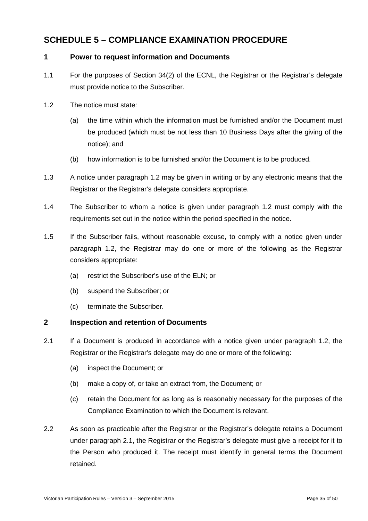## **SCHEDULE 5 – COMPLIANCE EXAMINATION PROCEDURE**

## **1 Power to request information and Documents**

- 1.1 For the purposes of Section 34(2) of the ECNL, the Registrar or the Registrar's delegate must provide notice to the Subscriber.
- 1.2 The notice must state:
	- (a) the time within which the information must be furnished and/or the Document must be produced (which must be not less than 10 Business Days after the giving of the notice); and
	- (b) how information is to be furnished and/or the Document is to be produced.
- 1.3 A notice under paragraph 1.2 may be given in writing or by any electronic means that the Registrar or the Registrar's delegate considers appropriate.
- 1.4 The Subscriber to whom a notice is given under paragraph 1.2 must comply with the requirements set out in the notice within the period specified in the notice.
- 1.5 If the Subscriber fails, without reasonable excuse, to comply with a notice given under paragraph 1.2, the Registrar may do one or more of the following as the Registrar considers appropriate:
	- (a) restrict the Subscriber's use of the ELN; or
	- (b) suspend the Subscriber; or
	- (c) terminate the Subscriber.

## **2 Inspection and retention of Documents**

- 2.1 If a Document is produced in accordance with a notice given under paragraph 1.2, the Registrar or the Registrar's delegate may do one or more of the following:
	- (a) inspect the Document; or
	- (b) make a copy of, or take an extract from, the Document; or
	- (c) retain the Document for as long as is reasonably necessary for the purposes of the Compliance Examination to which the Document is relevant.
- 2.2 As soon as practicable after the Registrar or the Registrar's delegate retains a Document under paragraph 2.1, the Registrar or the Registrar's delegate must give a receipt for it to the Person who produced it. The receipt must identify in general terms the Document retained.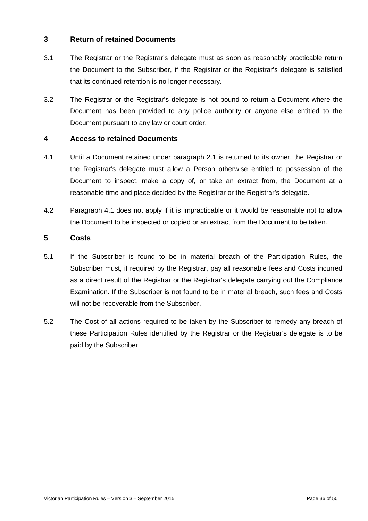## **3 Return of retained Documents**

- 3.1 The Registrar or the Registrar's delegate must as soon as reasonably practicable return the Document to the Subscriber, if the Registrar or the Registrar's delegate is satisfied that its continued retention is no longer necessary.
- 3.2 The Registrar or the Registrar's delegate is not bound to return a Document where the Document has been provided to any police authority or anyone else entitled to the Document pursuant to any law or court order.

## **4 Access to retained Documents**

- 4.1 Until a Document retained under paragraph 2.1 is returned to its owner, the Registrar or the Registrar's delegate must allow a Person otherwise entitled to possession of the Document to inspect, make a copy of, or take an extract from, the Document at a reasonable time and place decided by the Registrar or the Registrar's delegate.
- 4.2 Paragraph 4.1 does not apply if it is impracticable or it would be reasonable not to allow the Document to be inspected or copied or an extract from the Document to be taken.

## **5 Costs**

- 5.1 If the Subscriber is found to be in material breach of the Participation Rules, the Subscriber must, if required by the Registrar, pay all reasonable fees and Costs incurred as a direct result of the Registrar or the Registrar's delegate carrying out the Compliance Examination. If the Subscriber is not found to be in material breach, such fees and Costs will not be recoverable from the Subscriber.
- 5.2 The Cost of all actions required to be taken by the Subscriber to remedy any breach of these Participation Rules identified by the Registrar or the Registrar's delegate is to be paid by the Subscriber.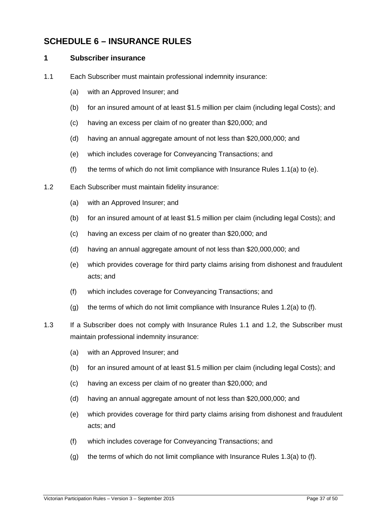## **SCHEDULE 6 – INSURANCE RULES**

#### **1 Subscriber insurance**

- 1.1 Each Subscriber must maintain professional indemnity insurance:
	- (a) with an Approved Insurer; and
	- (b) for an insured amount of at least \$1.5 million per claim (including legal Costs); and
	- (c) having an excess per claim of no greater than \$20,000; and
	- (d) having an annual aggregate amount of not less than \$20,000,000; and
	- (e) which includes coverage for Conveyancing Transactions; and
	- (f) the terms of which do not limit compliance with Insurance Rules 1.1(a) to (e).
- 1.2 Each Subscriber must maintain fidelity insurance:
	- (a) with an Approved Insurer; and
	- (b) for an insured amount of at least \$1.5 million per claim (including legal Costs); and
	- (c) having an excess per claim of no greater than \$20,000; and
	- (d) having an annual aggregate amount of not less than \$20,000,000; and
	- (e) which provides coverage for third party claims arising from dishonest and fraudulent acts; and
	- (f) which includes coverage for Conveyancing Transactions; and
	- (g) the terms of which do not limit compliance with Insurance Rules 1.2(a) to (f).
- 1.3 If a Subscriber does not comply with Insurance Rules 1.1 and 1.2, the Subscriber must maintain professional indemnity insurance:
	- (a) with an Approved Insurer; and
	- (b) for an insured amount of at least \$1.5 million per claim (including legal Costs); and
	- (c) having an excess per claim of no greater than \$20,000; and
	- (d) having an annual aggregate amount of not less than \$20,000,000; and
	- (e) which provides coverage for third party claims arising from dishonest and fraudulent acts; and
	- (f) which includes coverage for Conveyancing Transactions; and
	- (g) the terms of which do not limit compliance with Insurance Rules 1.3(a) to (f).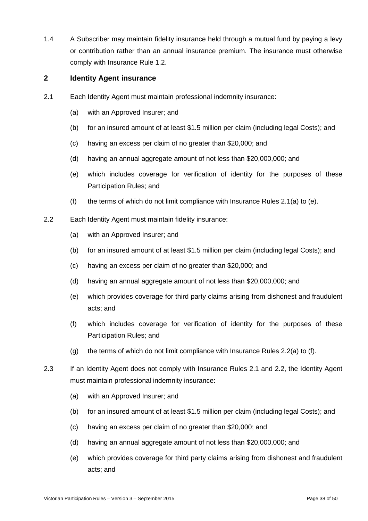1.4 A Subscriber may maintain fidelity insurance held through a mutual fund by paying a levy or contribution rather than an annual insurance premium. The insurance must otherwise comply with Insurance Rule 1.2.

## **2 Identity Agent insurance**

- 2.1 Each Identity Agent must maintain professional indemnity insurance:
	- (a) with an Approved Insurer; and
	- (b) for an insured amount of at least \$1.5 million per claim (including legal Costs); and
	- (c) having an excess per claim of no greater than \$20,000; and
	- (d) having an annual aggregate amount of not less than \$20,000,000; and
	- (e) which includes coverage for verification of identity for the purposes of these Participation Rules; and
	- (f) the terms of which do not limit compliance with Insurance Rules 2.1(a) to (e).
- 2.2 Each Identity Agent must maintain fidelity insurance:
	- (a) with an Approved Insurer; and
	- (b) for an insured amount of at least \$1.5 million per claim (including legal Costs); and
	- (c) having an excess per claim of no greater than \$20,000; and
	- (d) having an annual aggregate amount of not less than \$20,000,000; and
	- (e) which provides coverage for third party claims arising from dishonest and fraudulent acts; and
	- (f) which includes coverage for verification of identity for the purposes of these Participation Rules; and
	- (g) the terms of which do not limit compliance with Insurance Rules 2.2(a) to (f).
- 2.3 If an Identity Agent does not comply with Insurance Rules 2.1 and 2.2, the Identity Agent must maintain professional indemnity insurance:
	- (a) with an Approved Insurer; and
	- (b) for an insured amount of at least \$1.5 million per claim (including legal Costs); and
	- (c) having an excess per claim of no greater than \$20,000; and
	- (d) having an annual aggregate amount of not less than \$20,000,000; and
	- (e) which provides coverage for third party claims arising from dishonest and fraudulent acts; and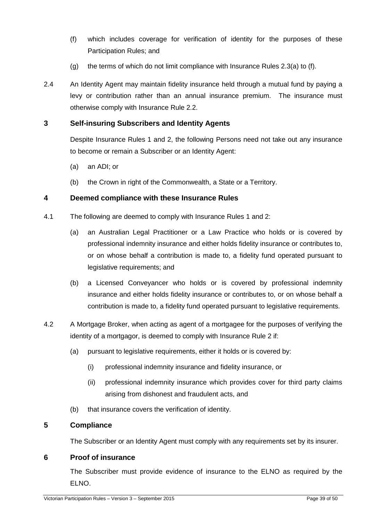- (f) which includes coverage for verification of identity for the purposes of these Participation Rules; and
- (g) the terms of which do not limit compliance with Insurance Rules  $2.3(a)$  to (f).
- 2.4 An Identity Agent may maintain fidelity insurance held through a mutual fund by paying a levy or contribution rather than an annual insurance premium. The insurance must otherwise comply with Insurance Rule 2.2.

## **3 Self-insuring Subscribers and Identity Agents**

Despite Insurance Rules 1 and 2, the following Persons need not take out any insurance to become or remain a Subscriber or an Identity Agent:

- (a) an ADI; or
- (b) the Crown in right of the Commonwealth, a State or a Territory.

#### **4 Deemed compliance with these Insurance Rules**

- 4.1 The following are deemed to comply with Insurance Rules 1 and 2:
	- (a) an Australian Legal Practitioner or a Law Practice who holds or is covered by professional indemnity insurance and either holds fidelity insurance or contributes to, or on whose behalf a contribution is made to, a fidelity fund operated pursuant to legislative requirements; and
	- (b) a Licensed Conveyancer who holds or is covered by professional indemnity insurance and either holds fidelity insurance or contributes to, or on whose behalf a contribution is made to, a fidelity fund operated pursuant to legislative requirements.
- 4.2 A Mortgage Broker, when acting as agent of a mortgagee for the purposes of verifying the identity of a mortgagor, is deemed to comply with Insurance Rule 2 if:
	- (a) pursuant to legislative requirements, either it holds or is covered by:
		- (i) professional indemnity insurance and fidelity insurance, or
		- (ii) professional indemnity insurance which provides cover for third party claims arising from dishonest and fraudulent acts, and
	- (b) that insurance covers the verification of identity.

## **5 Compliance**

The Subscriber or an Identity Agent must comply with any requirements set by its insurer.

#### **6 Proof of insurance**

The Subscriber must provide evidence of insurance to the ELNO as required by the ELNO.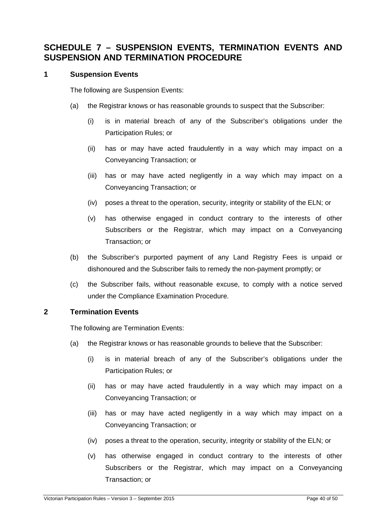## **SCHEDULE 7 – SUSPENSION EVENTS, TERMINATION EVENTS AND SUSPENSION AND TERMINATION PROCEDURE**

## **1 Suspension Events**

The following are Suspension Events:

- (a) the Registrar knows or has reasonable grounds to suspect that the Subscriber:
	- (i) is in material breach of any of the Subscriber's obligations under the Participation Rules; or
	- (ii) has or may have acted fraudulently in a way which may impact on a Conveyancing Transaction; or
	- (iii) has or may have acted negligently in a way which may impact on a Conveyancing Transaction; or
	- (iv) poses a threat to the operation, security, integrity or stability of the ELN; or
	- (v) has otherwise engaged in conduct contrary to the interests of other Subscribers or the Registrar, which may impact on a Conveyancing Transaction; or
- (b) the Subscriber's purported payment of any Land Registry Fees is unpaid or dishonoured and the Subscriber fails to remedy the non-payment promptly; or
- (c) the Subscriber fails, without reasonable excuse, to comply with a notice served under the Compliance Examination Procedure.

## **2 Termination Events**

The following are Termination Events:

- (a) the Registrar knows or has reasonable grounds to believe that the Subscriber:
	- (i) is in material breach of any of the Subscriber's obligations under the Participation Rules; or
	- (ii) has or may have acted fraudulently in a way which may impact on a Conveyancing Transaction; or
	- (iii) has or may have acted negligently in a way which may impact on a Conveyancing Transaction; or
	- (iv) poses a threat to the operation, security, integrity or stability of the ELN; or
	- (v) has otherwise engaged in conduct contrary to the interests of other Subscribers or the Registrar, which may impact on a Conveyancing Transaction; or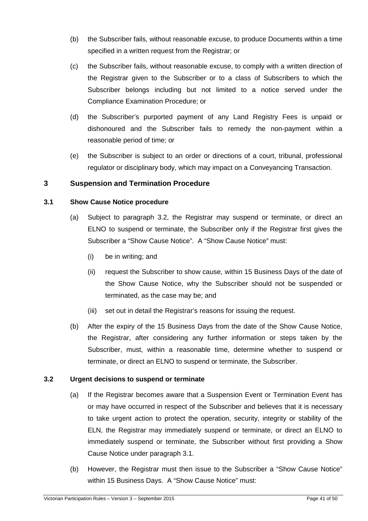- (b) the Subscriber fails, without reasonable excuse, to produce Documents within a time specified in a written request from the Registrar; or
- (c) the Subscriber fails, without reasonable excuse, to comply with a written direction of the Registrar given to the Subscriber or to a class of Subscribers to which the Subscriber belongs including but not limited to a notice served under the Compliance Examination Procedure; or
- (d) the Subscriber's purported payment of any Land Registry Fees is unpaid or dishonoured and the Subscriber fails to remedy the non-payment within a reasonable period of time; or
- (e) the Subscriber is subject to an order or directions of a court, tribunal, professional regulator or disciplinary body, which may impact on a Conveyancing Transaction.

## **3 Suspension and Termination Procedure**

#### **3.1 Show Cause Notice procedure**

- (a) Subject to paragraph 3.2, the Registrar may suspend or terminate, or direct an ELNO to suspend or terminate, the Subscriber only if the Registrar first gives the Subscriber a "Show Cause Notice". A "Show Cause Notice" must:
	- (i) be in writing; and
	- (ii) request the Subscriber to show cause, within 15 Business Days of the date of the Show Cause Notice, why the Subscriber should not be suspended or terminated, as the case may be; and
	- (iii) set out in detail the Registrar's reasons for issuing the request.
- (b) After the expiry of the 15 Business Days from the date of the Show Cause Notice, the Registrar, after considering any further information or steps taken by the Subscriber, must, within a reasonable time, determine whether to suspend or terminate, or direct an ELNO to suspend or terminate, the Subscriber.

## **3.2 Urgent decisions to suspend or terminate**

- (a) If the Registrar becomes aware that a Suspension Event or Termination Event has or may have occurred in respect of the Subscriber and believes that it is necessary to take urgent action to protect the operation, security, integrity or stability of the ELN, the Registrar may immediately suspend or terminate, or direct an ELNO to immediately suspend or terminate, the Subscriber without first providing a Show Cause Notice under paragraph 3.1.
- (b) However, the Registrar must then issue to the Subscriber a "Show Cause Notice" within 15 Business Days. A "Show Cause Notice" must: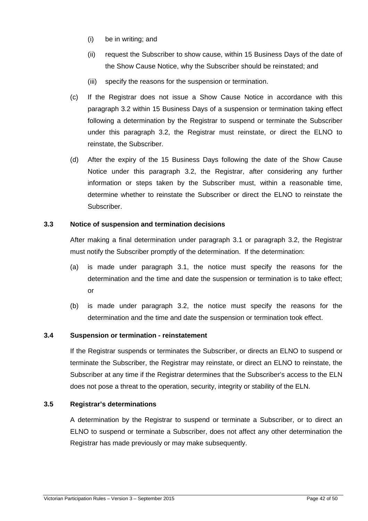- (i) be in writing; and
- (ii) request the Subscriber to show cause, within 15 Business Days of the date of the Show Cause Notice, why the Subscriber should be reinstated; and
- (iii) specify the reasons for the suspension or termination.
- (c) If the Registrar does not issue a Show Cause Notice in accordance with this paragraph 3.2 within 15 Business Days of a suspension or termination taking effect following a determination by the Registrar to suspend or terminate the Subscriber under this paragraph 3.2, the Registrar must reinstate, or direct the ELNO to reinstate, the Subscriber.
- (d) After the expiry of the 15 Business Days following the date of the Show Cause Notice under this paragraph 3.2, the Registrar, after considering any further information or steps taken by the Subscriber must, within a reasonable time, determine whether to reinstate the Subscriber or direct the ELNO to reinstate the Subscriber.

## **3.3 Notice of suspension and termination decisions**

After making a final determination under paragraph 3.1 or paragraph 3.2, the Registrar must notify the Subscriber promptly of the determination. If the determination:

- (a) is made under paragraph 3.1, the notice must specify the reasons for the determination and the time and date the suspension or termination is to take effect; or
- (b) is made under paragraph 3.2, the notice must specify the reasons for the determination and the time and date the suspension or termination took effect.

## **3.4 Suspension or termination - reinstatement**

If the Registrar suspends or terminates the Subscriber, or directs an ELNO to suspend or terminate the Subscriber, the Registrar may reinstate, or direct an ELNO to reinstate, the Subscriber at any time if the Registrar determines that the Subscriber's access to the ELN does not pose a threat to the operation, security, integrity or stability of the ELN.

## **3.5 Registrar's determinations**

A determination by the Registrar to suspend or terminate a Subscriber, or to direct an ELNO to suspend or terminate a Subscriber, does not affect any other determination the Registrar has made previously or may make subsequently.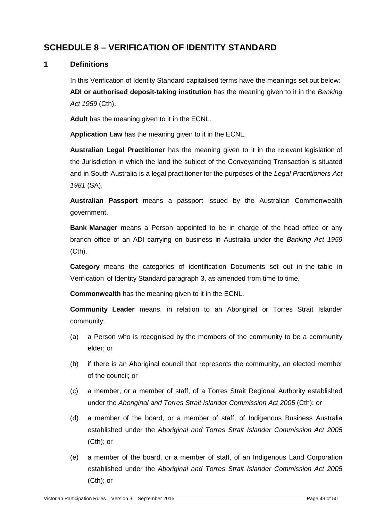## **SCHEDULE 8 – VERIFICATION OF IDENTITY STANDARD**

## **1 Definitions**

In this Verification of Identity Standard capitalised terms have the meanings set out below: **ADI or authorised deposit-taking institution** has the meaning given to it in the Banking Act 1959 (Cth).

**Adult** has the meaning given to it in the ECNL.

**Application Law** has the meaning given to it in the ECNL.

**Australian Legal Practitioner** has the meaning given to it in the relevant legislation of the Jurisdiction in which the land the subject of the Conveyancing Transaction is situated and in South Australia is a legal practitioner for the purposes of the Legal Practitioners Act 1981 (SA).

**Australian Passport** means a passport issued by the Australian Commonwealth government.

**Bank Manager** means a Person appointed to be in charge of the head office or any branch office of an ADI carrying on business in Australia under the Banking Act 1959 (Cth).

**Category** means the categories of identification Documents set out in the table in Verification of Identity Standard paragraph 3, as amended from time to time.

**Commonwealth** has the meaning given to it in the ECNL.

**Community Leader** means, in relation to an Aboriginal or Torres Strait Islander community:

- (a) a Person who is recognised by the members of the community to be a community elder; or
- (b) if there is an Aboriginal council that represents the community, an elected member of the council; or
- (c) a member, or a member of staff, of a Torres Strait Regional Authority established under the Aboriginal and Torres Strait Islander Commission Act 2005 (Cth); or
- (d) a member of the board, or a member of staff, of Indigenous Business Australia established under the Aboriginal and Torres Strait Islander Commission Act 2005 (Cth); or
- (e) a member of the board, or a member of staff, of an Indigenous Land Corporation established under the Aboriginal and Torres Strait Islander Commission Act 2005 (Cth); or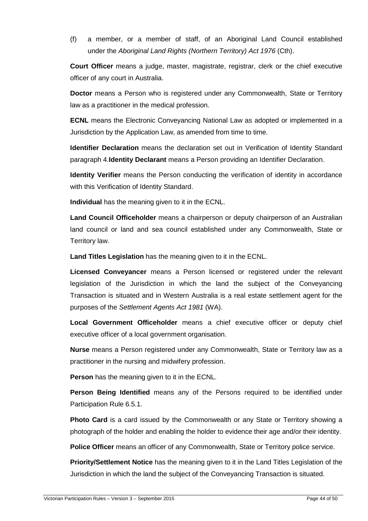(f) a member, or a member of staff, of an Aboriginal Land Council established under the Aboriginal Land Rights (Northern Territory) Act 1976 (Cth).

**Court Officer** means a judge, master, magistrate, registrar, clerk or the chief executive officer of any court in Australia.

**Doctor** means a Person who is registered under any Commonwealth, State or Territory law as a practitioner in the medical profession.

**ECNL** means the Electronic Conveyancing National Law as adopted or implemented in a Jurisdiction by the Application Law, as amended from time to time.

**Identifier Declaration** means the declaration set out in Verification of Identity Standard paragraph 4.**Identity Declarant** means a Person providing an Identifier Declaration.

**Identity Verifier** means the Person conducting the verification of identity in accordance with this Verification of Identity Standard.

**Individual** has the meaning given to it in the ECNL.

**Land Council Officeholder** means a chairperson or deputy chairperson of an Australian land council or land and sea council established under any Commonwealth, State or Territory law.

**Land Titles Legislation** has the meaning given to it in the ECNL.

**Licensed Conveyancer** means a Person licensed or registered under the relevant legislation of the Jurisdiction in which the land the subject of the Conveyancing Transaction is situated and in Western Australia is a real estate settlement agent for the purposes of the Settlement Agents Act 1981 (WA).

**Local Government Officeholder** means a chief executive officer or deputy chief executive officer of a local government organisation.

**Nurse** means a Person registered under any Commonwealth, State or Territory law as a practitioner in the nursing and midwifery profession.

**Person** has the meaning given to it in the ECNL.

**Person Being Identified** means any of the Persons required to be identified under Participation Rule 6.5.1.

**Photo Card** is a card issued by the Commonwealth or any State or Territory showing a photograph of the holder and enabling the holder to evidence their age and/or their identity.

**Police Officer** means an officer of any Commonwealth, State or Territory police service.

**Priority/Settlement Notice** has the meaning given to it in the Land Titles Legislation of the Jurisdiction in which the land the subject of the Conveyancing Transaction is situated.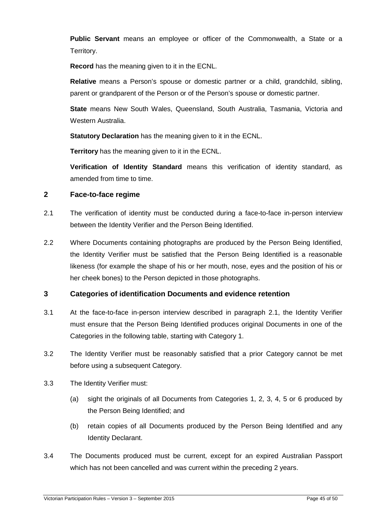**Public Servant** means an employee or officer of the Commonwealth, a State or a Territory.

**Record** has the meaning given to it in the ECNL.

**Relative** means a Person's spouse or domestic partner or a child, grandchild, sibling, parent or grandparent of the Person or of the Person's spouse or domestic partner.

**State** means New South Wales, Queensland, South Australia, Tasmania, Victoria and Western Australia.

**Statutory Declaration** has the meaning given to it in the ECNL.

**Territory** has the meaning given to it in the ECNL.

**Verification of Identity Standard** means this verification of identity standard, as amended from time to time.

## **2 Face-to-face regime**

- 2.1 The verification of identity must be conducted during a face-to-face in-person interview between the Identity Verifier and the Person Being Identified.
- 2.2 Where Documents containing photographs are produced by the Person Being Identified, the Identity Verifier must be satisfied that the Person Being Identified is a reasonable likeness (for example the shape of his or her mouth, nose, eyes and the position of his or her cheek bones) to the Person depicted in those photographs.

## **3 Categories of identification Documents and evidence retention**

- 3.1 At the face-to-face in-person interview described in paragraph 2.1, the Identity Verifier must ensure that the Person Being Identified produces original Documents in one of the Categories in the following table, starting with Category 1.
- 3.2 The Identity Verifier must be reasonably satisfied that a prior Category cannot be met before using a subsequent Category.
- 3.3 The Identity Verifier must:
	- (a) sight the originals of all Documents from Categories 1, 2, 3, 4, 5 or 6 produced by the Person Being Identified; and
	- (b) retain copies of all Documents produced by the Person Being Identified and any Identity Declarant.
- 3.4 The Documents produced must be current, except for an expired Australian Passport which has not been cancelled and was current within the preceding 2 years.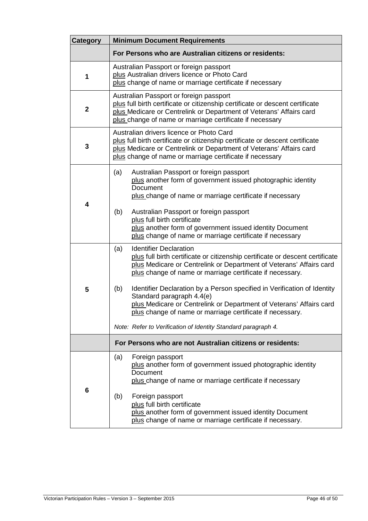| <b>Category</b> | <b>Minimum Document Requirements</b>                                                                                                                                                                                                                                                                                                                                                                                                                                                                                                                                           |  |  |
|-----------------|--------------------------------------------------------------------------------------------------------------------------------------------------------------------------------------------------------------------------------------------------------------------------------------------------------------------------------------------------------------------------------------------------------------------------------------------------------------------------------------------------------------------------------------------------------------------------------|--|--|
|                 | For Persons who are Australian citizens or residents:                                                                                                                                                                                                                                                                                                                                                                                                                                                                                                                          |  |  |
| 1               | Australian Passport or foreign passport<br>plus Australian drivers licence or Photo Card<br>plus change of name or marriage certificate if necessary                                                                                                                                                                                                                                                                                                                                                                                                                           |  |  |
| $\mathbf 2$     | Australian Passport or foreign passport<br>plus full birth certificate or citizenship certificate or descent certificate<br>plus Medicare or Centrelink or Department of Veterans' Affairs card<br>plus change of name or marriage certificate if necessary                                                                                                                                                                                                                                                                                                                    |  |  |
| 3               | Australian drivers licence or Photo Card<br>plus full birth certificate or citizenship certificate or descent certificate<br>plus Medicare or Centrelink or Department of Veterans' Affairs card<br>plus change of name or marriage certificate if necessary                                                                                                                                                                                                                                                                                                                   |  |  |
| 4               | (a)<br>Australian Passport or foreign passport<br>plus another form of government issued photographic identity<br>Document<br>plus change of name or marriage certificate if necessary<br>(b)<br>Australian Passport or foreign passport<br>plus full birth certificate<br>plus another form of government issued identity Document<br>plus change of name or marriage certificate if necessary                                                                                                                                                                                |  |  |
| 5               | <b>Identifier Declaration</b><br>(a)<br>plus full birth certificate or citizenship certificate or descent certificate<br>plus Medicare or Centrelink or Department of Veterans' Affairs card<br>plus change of name or marriage certificate if necessary.<br>Identifier Declaration by a Person specified in Verification of Identity<br>(b)<br>Standard paragraph 4.4(e)<br>plus Medicare or Centrelink or Department of Veterans' Affairs card<br>plus change of name or marriage certificate if necessary.<br>Note: Refer to Verification of Identity Standard paragraph 4. |  |  |
|                 | For Persons who are not Australian citizens or residents:                                                                                                                                                                                                                                                                                                                                                                                                                                                                                                                      |  |  |
| 6               | Foreign passport<br>(a)<br>plus another form of government issued photographic identity<br>Document<br>plus change of name or marriage certificate if necessary<br>Foreign passport<br>(b)<br>plus full birth certificate<br>plus another form of government issued identity Document<br>plus change of name or marriage certificate if necessary.                                                                                                                                                                                                                             |  |  |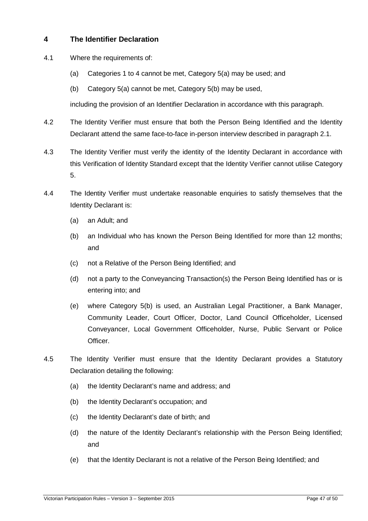## **4 The Identifier Declaration**

- 4.1 Where the requirements of:
	- (a) Categories 1 to 4 cannot be met, Category 5(a) may be used; and
	- (b) Category 5(a) cannot be met, Category 5(b) may be used,

including the provision of an Identifier Declaration in accordance with this paragraph.

- 4.2 The Identity Verifier must ensure that both the Person Being Identified and the Identity Declarant attend the same face-to-face in-person interview described in paragraph 2.1.
- 4.3 The Identity Verifier must verify the identity of the Identity Declarant in accordance with this Verification of Identity Standard except that the Identity Verifier cannot utilise Category 5.
- 4.4 The Identity Verifier must undertake reasonable enquiries to satisfy themselves that the Identity Declarant is:
	- (a) an Adult; and
	- (b) an Individual who has known the Person Being Identified for more than 12 months; and
	- (c) not a Relative of the Person Being Identified; and
	- (d) not a party to the Conveyancing Transaction(s) the Person Being Identified has or is entering into; and
	- (e) where Category 5(b) is used, an Australian Legal Practitioner, a Bank Manager, Community Leader, Court Officer, Doctor, Land Council Officeholder, Licensed Conveyancer, Local Government Officeholder, Nurse, Public Servant or Police Officer.
- 4.5 The Identity Verifier must ensure that the Identity Declarant provides a Statutory Declaration detailing the following:
	- (a) the Identity Declarant's name and address; and
	- (b) the Identity Declarant's occupation; and
	- (c) the Identity Declarant's date of birth; and
	- (d) the nature of the Identity Declarant's relationship with the Person Being Identified; and
	- (e) that the Identity Declarant is not a relative of the Person Being Identified; and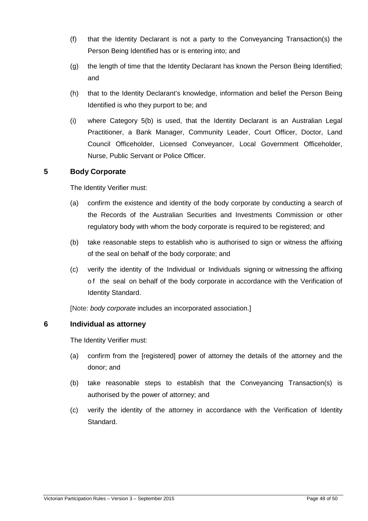- (f) that the Identity Declarant is not a party to the Conveyancing Transaction(s) the Person Being Identified has or is entering into; and
- (g) the length of time that the Identity Declarant has known the Person Being Identified; and
- (h) that to the Identity Declarant's knowledge, information and belief the Person Being Identified is who they purport to be; and
- (i) where Category 5(b) is used, that the Identity Declarant is an Australian Legal Practitioner, a Bank Manager, Community Leader, Court Officer, Doctor, Land Council Officeholder, Licensed Conveyancer, Local Government Officeholder, Nurse, Public Servant or Police Officer.

## **5 Body Corporate**

The Identity Verifier must:

- (a) confirm the existence and identity of the body corporate by conducting a search of the Records of the Australian Securities and Investments Commission or other regulatory body with whom the body corporate is required to be registered; and
- (b) take reasonable steps to establish who is authorised to sign or witness the affixing of the seal on behalf of the body corporate; and
- (c) verify the identity of the Individual or Individuals signing or witnessing the affixing o f the seal on behalf of the body corporate in accordance with the Verification of Identity Standard.

[Note: body corporate includes an incorporated association.]

## **6 Individual as attorney**

The Identity Verifier must:

- (a) confirm from the [registered] power of attorney the details of the attorney and the donor; and
- (b) take reasonable steps to establish that the Conveyancing Transaction(s) is authorised by the power of attorney; and
- (c) verify the identity of the attorney in accordance with the Verification of Identity Standard.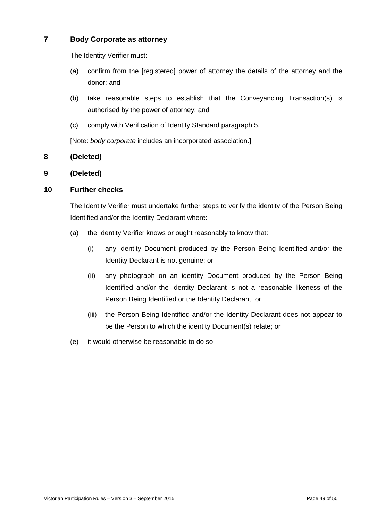## **7 Body Corporate as attorney**

The Identity Verifier must:

- (a) confirm from the [registered] power of attorney the details of the attorney and the donor; and
- (b) take reasonable steps to establish that the Conveyancing Transaction(s) is authorised by the power of attorney; and
- (c) comply with Verification of Identity Standard paragraph 5.

[Note: body corporate includes an incorporated association.]

## **8 (Deleted)**

## **9 (Deleted)**

## **10 Further checks**

The Identity Verifier must undertake further steps to verify the identity of the Person Being Identified and/or the Identity Declarant where:

- (a) the Identity Verifier knows or ought reasonably to know that:
	- (i) any identity Document produced by the Person Being Identified and/or the Identity Declarant is not genuine; or
	- (ii) any photograph on an identity Document produced by the Person Being Identified and/or the Identity Declarant is not a reasonable likeness of the Person Being Identified or the Identity Declarant; or
	- (iii) the Person Being Identified and/or the Identity Declarant does not appear to be the Person to which the identity Document(s) relate; or
- (e) it would otherwise be reasonable to do so.